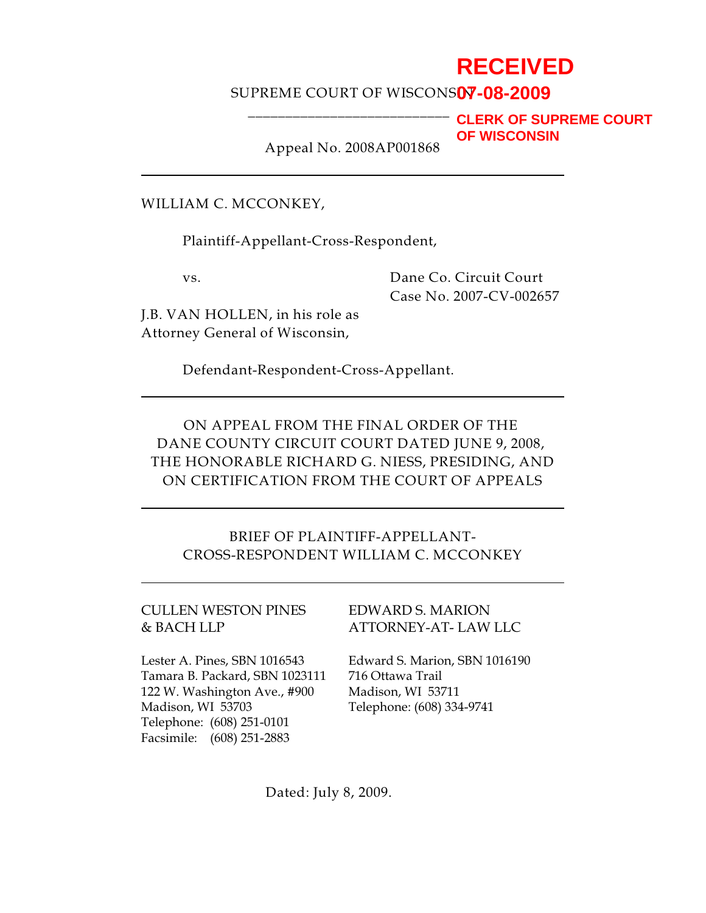# **RECEIVED**

# SUPREME COURT OF WISCONS**07-08-2009**

**CLERK OF SUPREME COURT OF WISCONSIN**

Appeal No. 2008AP001868

\_\_\_\_\_\_\_\_\_\_\_\_\_\_\_\_\_\_\_\_\_\_\_\_\_\_\_

WILLIAM C. MCCONKEY,

Plaintiff-Appellant-Cross-Respondent,

vs. Dane Co. Circuit Court Case No. 2007-CV-002657

J.B. VAN HOLLEN, in his role as Attorney General of Wisconsin,

Defendant-Respondent-Cross-Appellant.

ON APPEAL FROM THE FINAL ORDER OF THE DANE COUNTY CIRCUIT COURT DATED JUNE 9, 2008, THE HONORABLE RICHARD G. NIESS, PRESIDING, AND ON CERTIFICATION FROM THE COURT OF APPEALS

BRIEF OF PLAINTIFF-APPELLANT-CROSS-RESPONDENT WILLIAM C. MCCONKEY

CULLEN WESTON PINES EDWARD S. MARION

& BACH LLP ATTORNEY-AT- LAW LLC

Lester A. Pines, SBN 1016543 Edward S. Marion, SBN 1016190 Tamara B. Packard, SBN 1023111 716 Ottawa Trail 122 W. Washington Ave., #900 Madison, WI 53711 Madison, WI 53703 Telephone: (608) 334-9741 Telephone: (608) 251-0101 Facsimile: (608) 251-2883

Dated: July 8, 2009.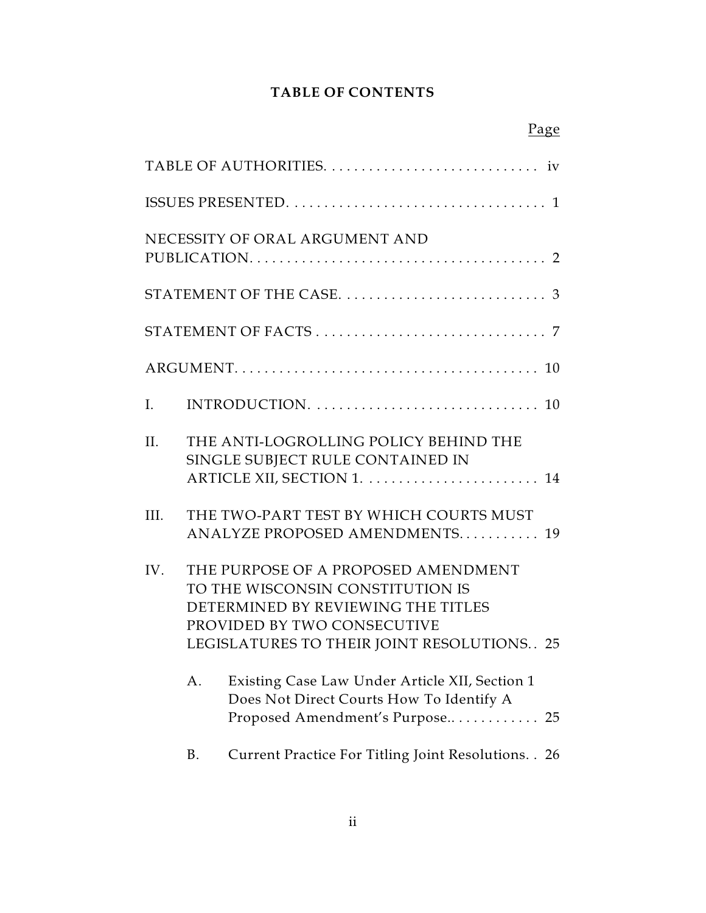# **TABLE OF CONTENTS**

|                  |    | Page                                                                                                                                                                                       |  |
|------------------|----|--------------------------------------------------------------------------------------------------------------------------------------------------------------------------------------------|--|
|                  |    |                                                                                                                                                                                            |  |
|                  |    |                                                                                                                                                                                            |  |
|                  |    |                                                                                                                                                                                            |  |
|                  |    | NECESSITY OF ORAL ARGUMENT AND                                                                                                                                                             |  |
|                  |    |                                                                                                                                                                                            |  |
|                  |    |                                                                                                                                                                                            |  |
|                  |    |                                                                                                                                                                                            |  |
| $\overline{I}$ . |    |                                                                                                                                                                                            |  |
| II.              |    | THE ANTI-LOGROLLING POLICY BEHIND THE<br>SINGLE SUBJECT RULE CONTAINED IN                                                                                                                  |  |
| III.             |    | THE TWO-PART TEST BY WHICH COURTS MUST<br>ANALYZE PROPOSED AMENDMENTS 19                                                                                                                   |  |
| IV.              |    | THE PURPOSE OF A PROPOSED AMENDMENT<br>TO THE WISCONSIN CONSTITUTION IS<br>DETERMINED BY REVIEWING THE TITLES<br>PROVIDED BY TWO CONSECUTIVE<br>LEGISLATURES TO THEIR JOINT RESOLUTIONS 25 |  |
|                  | А. | Existing Case Law Under Article XII, Section 1<br>Does Not Direct Courts How To Identify A<br>Proposed Amendment's Purpose 25                                                              |  |
|                  | Β. | Current Practice For Titling Joint Resolutions. . 26                                                                                                                                       |  |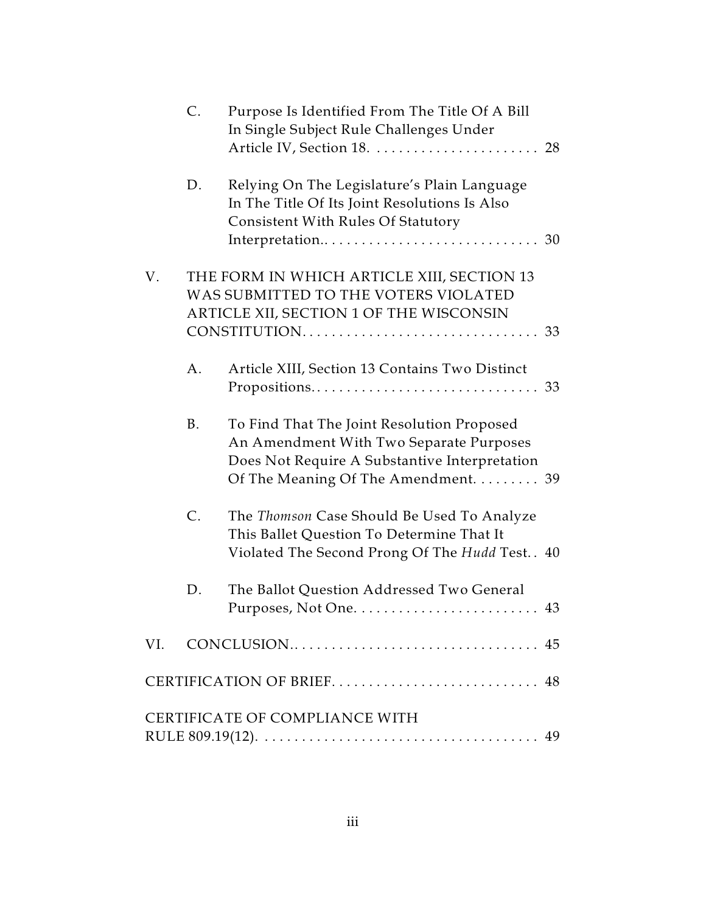|    | C.        | Purpose Is Identified From The Title Of A Bill<br>In Single Subject Rule Challenges Under                                                                                     |  |
|----|-----------|-------------------------------------------------------------------------------------------------------------------------------------------------------------------------------|--|
|    | D.        | Relying On The Legislature's Plain Language<br>In The Title Of Its Joint Resolutions Is Also<br><b>Consistent With Rules Of Statutory</b>                                     |  |
| V. |           | THE FORM IN WHICH ARTICLE XIII, SECTION 13<br>WAS SUBMITTED TO THE VOTERS VIOLATED<br>ARTICLE XII, SECTION 1 OF THE WISCONSIN                                                 |  |
|    |           |                                                                                                                                                                               |  |
|    | A.        | Article XIII, Section 13 Contains Two Distinct                                                                                                                                |  |
|    | <b>B.</b> | To Find That The Joint Resolution Proposed<br>An Amendment With Two Separate Purposes<br>Does Not Require A Substantive Interpretation<br>Of The Meaning Of The Amendment. 39 |  |
|    | C.        | The Thomson Case Should Be Used To Analyze<br>This Ballet Question To Determine That It<br>Violated The Second Prong Of The Hudd Test 40                                      |  |
|    | D.        | The Ballot Question Addressed Two General                                                                                                                                     |  |
|    |           |                                                                                                                                                                               |  |
|    |           |                                                                                                                                                                               |  |
|    |           | CERTIFICATE OF COMPLIANCE WITH                                                                                                                                                |  |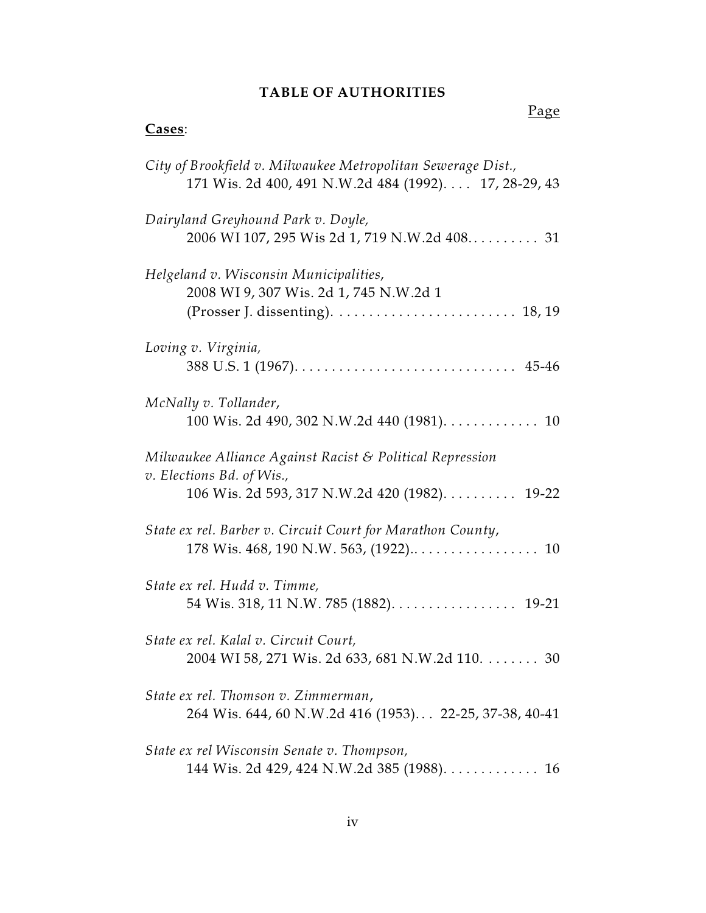#### **TABLE OF AUTHORITIES**

#### **Cases**:

# *City of Brookfield v. Milwaukee Metropolitan Sewerage Dist.,*  171 Wis. 2d 400, 491 N.W.2d 484 (1992). . . . 17, 28-29, 43 *Dairyland Greyhound Park v. Doyle,*  2006 WI 107, 295 Wis 2d 1, 719 N.W.2d 408. . . . . . . . . . 31 *Helgeland v. Wisconsin Municipalities*, 2008 WI 9, 307 Wis. 2d 1, 745 N.W.2d 1 (Prosser J. dissenting). ........................ 18, 19 *Loving v. Virginia,* 388 U.S. 1 (1967).............................. 45-46 *McNally v. Tollander*, 100 Wis. 2d 490, 302 N.W.2d 440 (1981). . . . . . . . . . . . . 10 *Milwaukee Alliance Against Racist & Political Repression v. Elections Bd. of Wis.,*  106 Wis. 2d 593, 317 N.W.2d 420 (1982). . . . . . . . . . 19-22 *State ex rel. Barber v. Circuit Court for Marathon County*, 178 Wis. 468, 190 N.W. 563, (1922).. . . . . . . . . . . . . . . . . 10 *State ex rel. Hudd v. Timme,* 54 Wis. 318, 11 N.W. 785 (1882). . . . . . . . . . . . . . . . . 19-21 *State ex rel. Kalal v. Circuit Court,*  2004 WI 58, 271 Wis. 2d 633, 681 N.W.2d 110. . . . . . . . 30 *State ex rel. Thomson v. Zimmerman*, 264 Wis. 644, 60 N.W.2d 416 (1953). . . 22-25, 37-38, 40-41 *State ex rel Wisconsin Senate v. Thompson,*

144 Wis. 2d 429, 424 N.W.2d 385 (1988). . . . . . . . . . . . . 16

#### iv

#### Page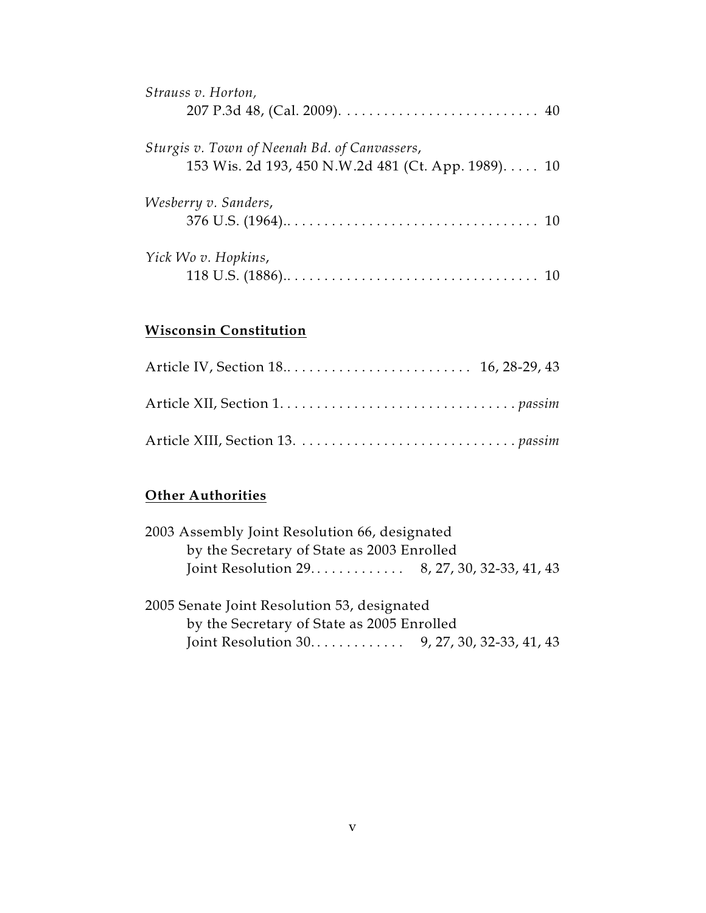| Strauss v. Horton,                                                                                 |    |
|----------------------------------------------------------------------------------------------------|----|
| Sturgis v. Town of Neenah Bd. of Canvassers,<br>153 Wis. 2d 193, 450 N.W.2d 481 (Ct. App. 1989) 10 |    |
| Wesberry v. Sanders,                                                                               |    |
| Yick Wo v. Hopkins,                                                                                | 10 |

# **Wisconsin Constitution**

## **Other Authorities**

| 2003 Assembly Joint Resolution 66, designated |  |
|-----------------------------------------------|--|
| by the Secretary of State as 2003 Enrolled    |  |
|                                               |  |
| 2005 Senate Joint Pesclution 53 decianated    |  |

| 2005 Senate Joint Resolution 53, designated |  |
|---------------------------------------------|--|
| by the Secretary of State as 2005 Enrolled  |  |
|                                             |  |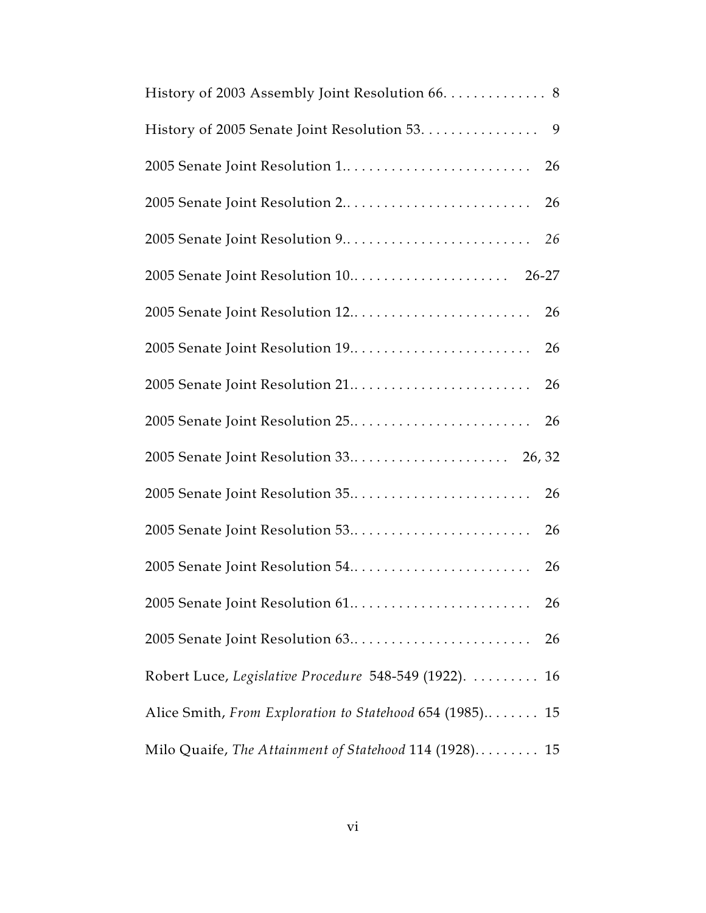| History of 2003 Assembly Joint Resolution 66. 8          |
|----------------------------------------------------------|
| History of 2005 Senate Joint Resolution 53. 9            |
| 26                                                       |
|                                                          |
|                                                          |
| $26 - 27$                                                |
|                                                          |
| 26                                                       |
| 26                                                       |
| 26                                                       |
| 2005 Senate Joint Resolution 33 26, 32                   |
|                                                          |
| 26                                                       |
| 26                                                       |
| 2005 Senate Joint Resolution 61<br>26                    |
| 26                                                       |
| Robert Luce, Legislative Procedure 548-549 (1922).  16   |
| Alice Smith, From Exploration to Statehood 654 (1985) 15 |
| Milo Quaife, The Attainment of Statehood 114 (1928) 15   |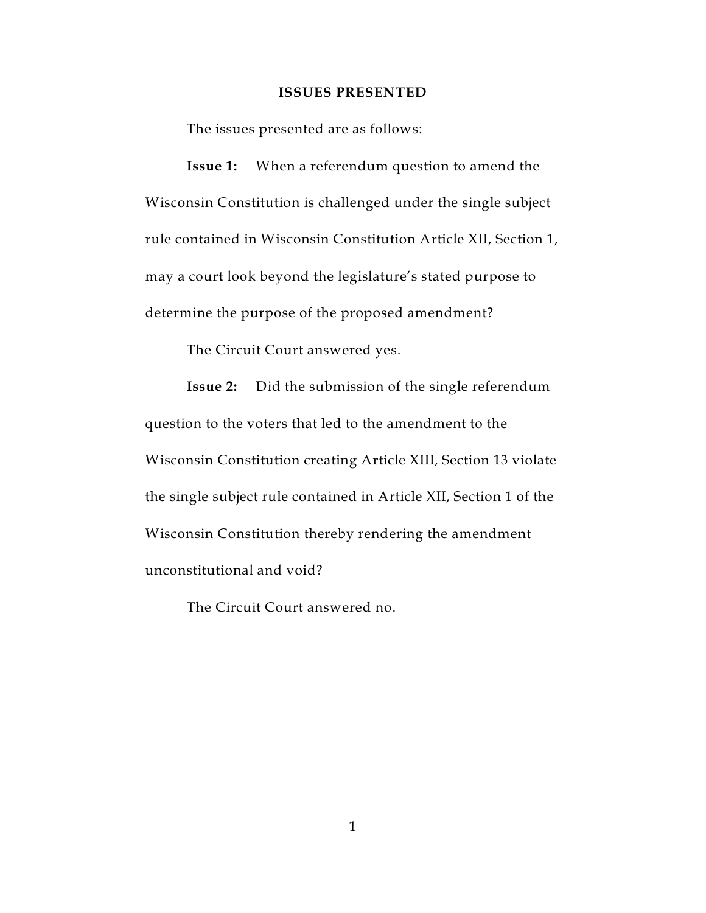#### **ISSUES PRESENTED**

The issues presented are as follows:

**Issue 1:** When a referendum question to amend the Wisconsin Constitution is challenged under the single subject rule contained in Wisconsin Constitution Article XII, Section 1, may a court look beyond the legislature's stated purpose to determine the purpose of the proposed amendment?

The Circuit Court answered yes.

**Issue 2:** Did the submission of the single referendum question to the voters that led to the amendment to the Wisconsin Constitution creating Article XIII, Section 13 violate the single subject rule contained in Article XII, Section 1 of the Wisconsin Constitution thereby rendering the amendment unconstitutional and void?

The Circuit Court answered no.

1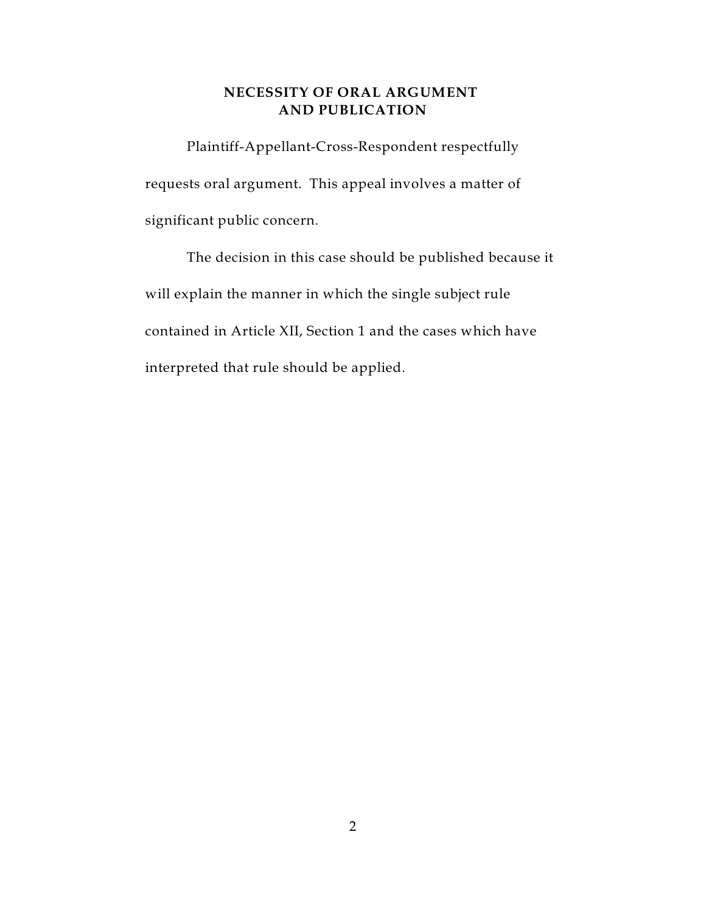#### **NECESSITY OF ORAL ARGUMENT AND PUBLICATION**

Plaintiff-Appellant-Cross-Respondent respectfully requests oral argument. This appeal involves a matter of significant public concern.

The decision in this case should be published because it will explain the manner in which the single subject rule contained in Article XII, Section 1 and the cases which have interpreted that rule should be applied.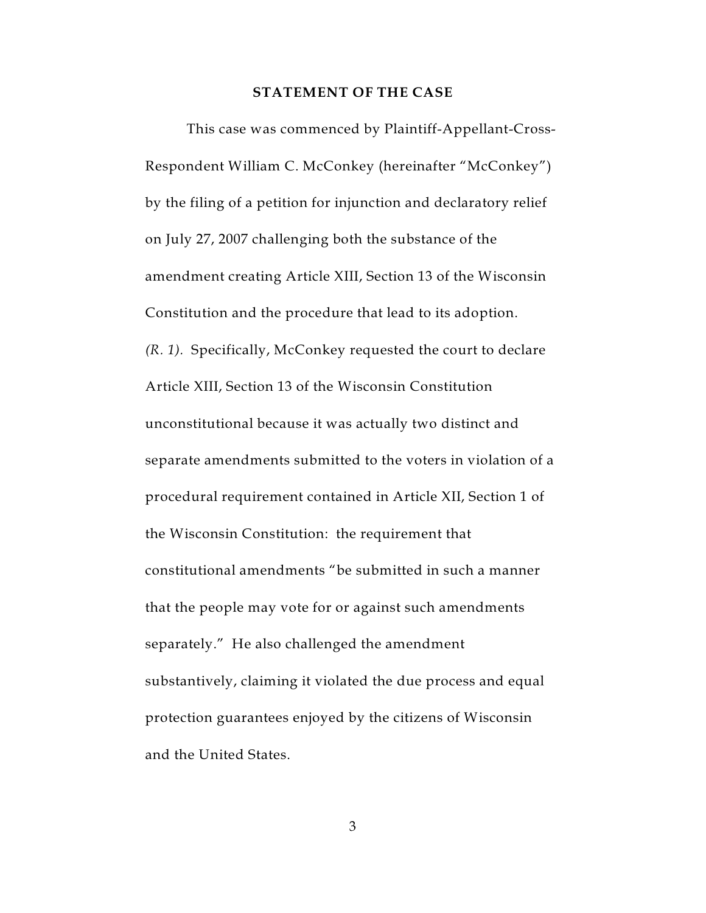#### **STATEMENT OF THE CASE**

This case was commenced by Plaintiff-Appellant-Cross-Respondent William C. McConkey (hereinafter "McConkey") by the filing of a petition for injunction and declaratory relief on July 27, 2007 challenging both the substance of the amendment creating Article XIII, Section 13 of the Wisconsin Constitution and the procedure that lead to its adoption. *(R. 1).* Specifically, McConkey requested the court to declare Article XIII, Section 13 of the Wisconsin Constitution unconstitutional because it was actually two distinct and separate amendments submitted to the voters in violation of a procedural requirement contained in Article XII, Section 1 of the Wisconsin Constitution: the requirement that constitutional amendments "be submitted in such a manner that the people may vote for or against such amendments separately." He also challenged the amendment substantively, claiming it violated the due process and equal protection guarantees enjoyed by the citizens of Wisconsin and the United States.

3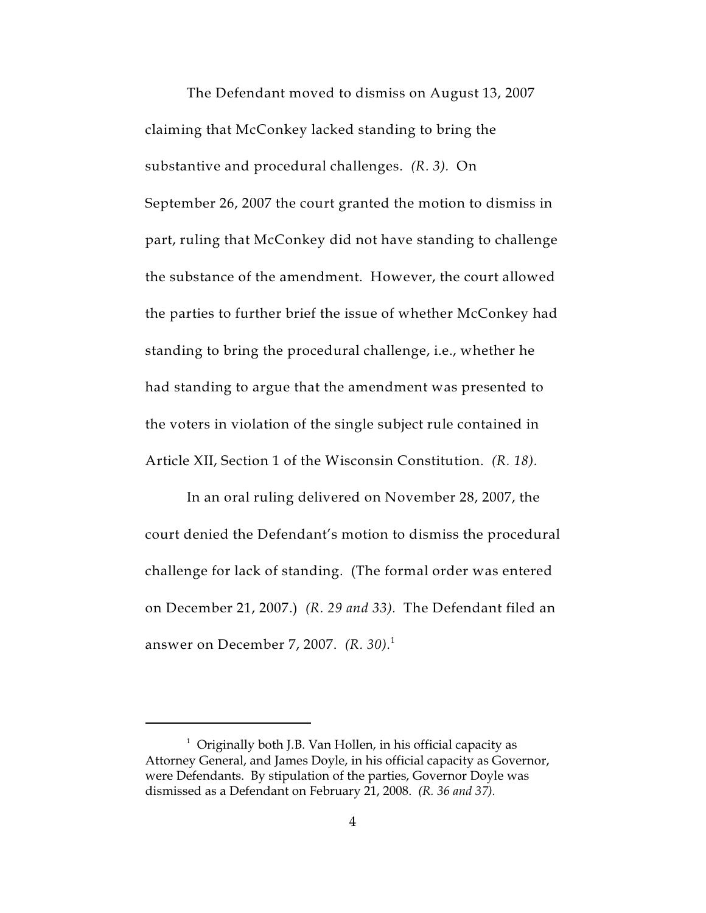The Defendant moved to dismiss on August 13, 2007 claiming that McConkey lacked standing to bring the substantive and procedural challenges. *(R. 3).* On September 26, 2007 the court granted the motion to dismiss in part, ruling that McConkey did not have standing to challenge the substance of the amendment. However, the court allowed the parties to further brief the issue of whether McConkey had standing to bring the procedural challenge, i.e., whether he had standing to argue that the amendment was presented to the voters in violation of the single subject rule contained in Article XII, Section 1 of the Wisconsin Constitution. *(R. 18).*

In an oral ruling delivered on November 28, 2007, the court denied the Defendant's motion to dismiss the procedural challenge for lack of standing. (The formal order was entered on December 21, 2007.) *(R. 29 and 33).* The Defendant filed an answer on December 7, 2007. *(R. 30).*<sup>1</sup>

 $1$  Originally both J.B. Van Hollen, in his official capacity as Attorney General, and James Doyle, in his official capacity as Governor, were Defendants. By stipulation of the parties, Governor Doyle was dismissed as a Defendant on February 21, 2008. *(R. 36 and 37).*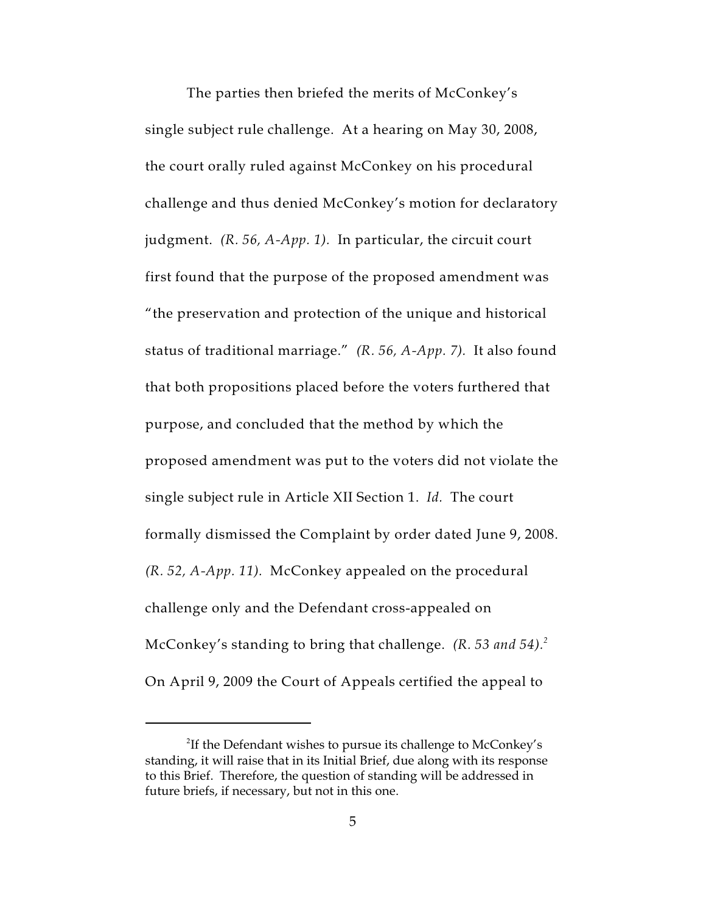The parties then briefed the merits of McConkey's single subject rule challenge. At a hearing on May 30, 2008, the court orally ruled against McConkey on his procedural challenge and thus denied McConkey's motion for declaratory judgment. *(R. 56, A-App. 1).* In particular, the circuit court first found that the purpose of the proposed amendment was "the preservation and protection of the unique and historical status of traditional marriage." *(R. 56, A-App. 7).* It also found that both propositions placed before the voters furthered that purpose, and concluded that the method by which the proposed amendment was put to the voters did not violate the single subject rule in Article XII Section 1. *Id.* The court formally dismissed the Complaint by order dated June 9, 2008. *(R. 52, A-App. 11).* McConkey appealed on the procedural challenge only and the Defendant cross-appealed on McConkey's standing to bring that challenge. *(R. 53 and 54).<sup>2</sup>* On April 9, 2009 the Court of Appeals certified the appeal to

<sup>&</sup>lt;sup>2</sup>If the Defendant wishes to pursue its challenge to McConkey's standing, it will raise that in its Initial Brief, due along with its response to this Brief. Therefore, the question of standing will be addressed in future briefs, if necessary, but not in this one.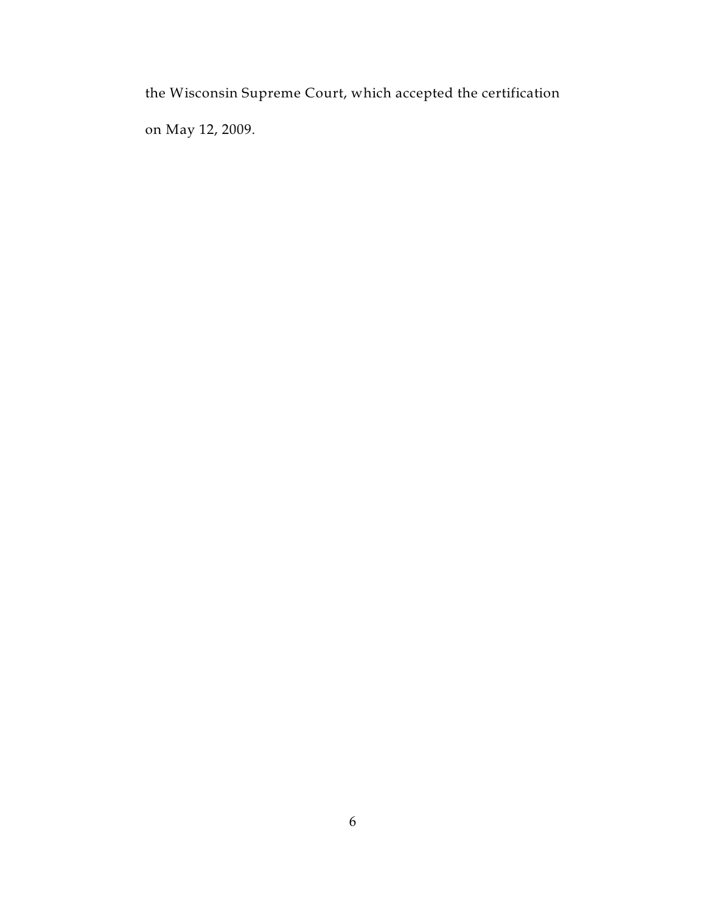the Wisconsin Supreme Court, which accepted the certification

on May 12, 2009.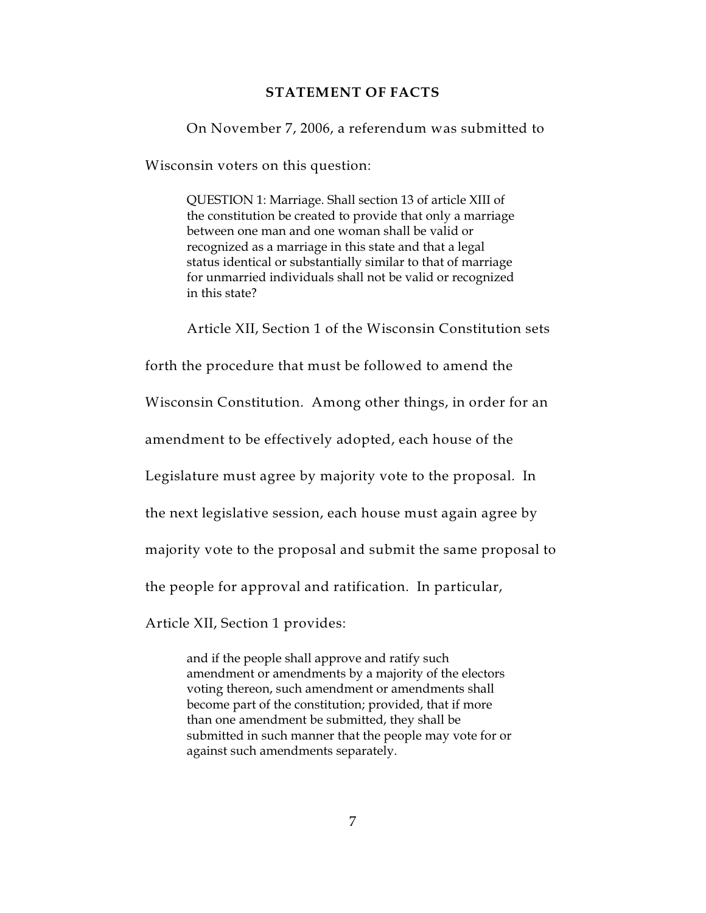#### **STATEMENT OF FACTS**

On November 7, 2006, a referendum was submitted to

Wisconsin voters on this question:

QUESTION 1: Marriage. Shall section 13 of article XIII of the constitution be created to provide that only a marriage between one man and one woman shall be valid or recognized as a marriage in this state and that a legal status identical or substantially similar to that of marriage for unmarried individuals shall not be valid or recognized in this state?

Article XII, Section 1 of the Wisconsin Constitution sets

forth the procedure that must be followed to amend the

Wisconsin Constitution. Among other things, in order for an

amendment to be effectively adopted, each house of the

Legislature must agree by majority vote to the proposal. In

the next legislative session, each house must again agree by

majority vote to the proposal and submit the same proposal to

the people for approval and ratification. In particular,

Article XII, Section 1 provides:

and if the people shall approve and ratify such amendment or amendments by a majority of the electors voting thereon, such amendment or amendments shall become part of the constitution; provided, that if more than one amendment be submitted, they shall be submitted in such manner that the people may vote for or against such amendments separately.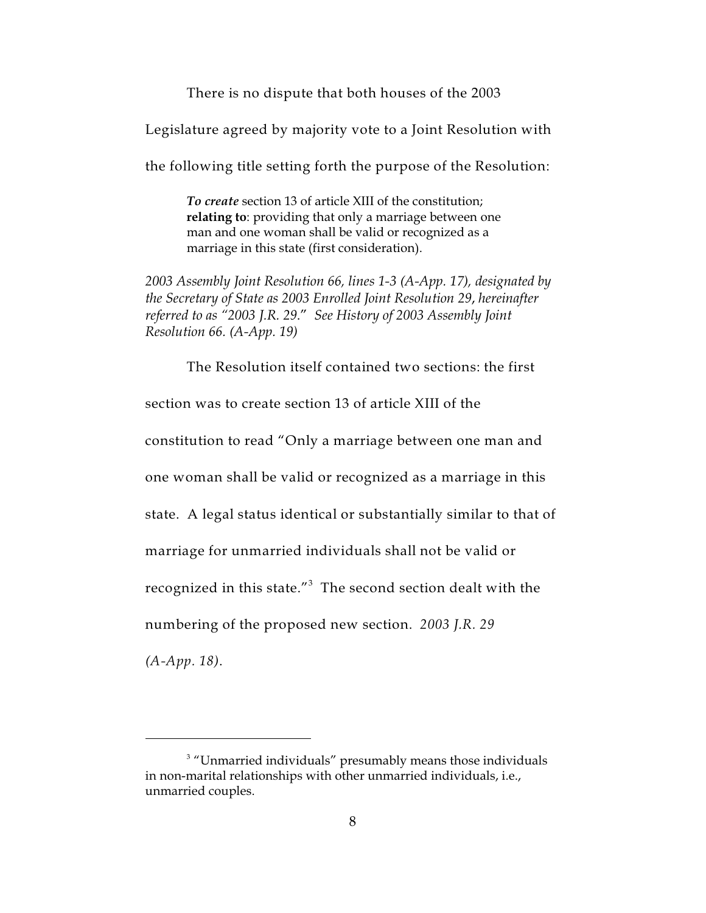There is no dispute that both houses of the 2003

Legislature agreed by majority vote to a Joint Resolution with

the following title setting forth the purpose of the Resolution:

*To create* section 13 of article XIII of the constitution; **relating to**: providing that only a marriage between one man and one woman shall be valid or recognized as a marriage in this state (first consideration).

*2003 Assembly Joint Resolution 66, lines 1-3 (A-App. 17), designated by the Secretary of State as 2003 Enrolled Joint Resolution 29*, *hereinafter referred to as "2003 J.R. 29*." *See History of 2003 Assembly Joint Resolution 66. (A-App. 19)*

The Resolution itself contained two sections: the first

section was to create section 13 of article XIII of the

constitution to read "Only a marriage between one man and

one woman shall be valid or recognized as a marriage in this

state. A legal status identical or substantially similar to that of

marriage for unmarried individuals shall not be valid or

recognized in this state." $3$  The second section dealt with the

numbering of the proposed new section. *2003 J.R. 29* 

*(A-App. 18)*.

<sup>&</sup>lt;sup>3</sup> "Unmarried individuals" presumably means those individuals in non-marital relationships with other unmarried individuals, i.e., unmarried couples.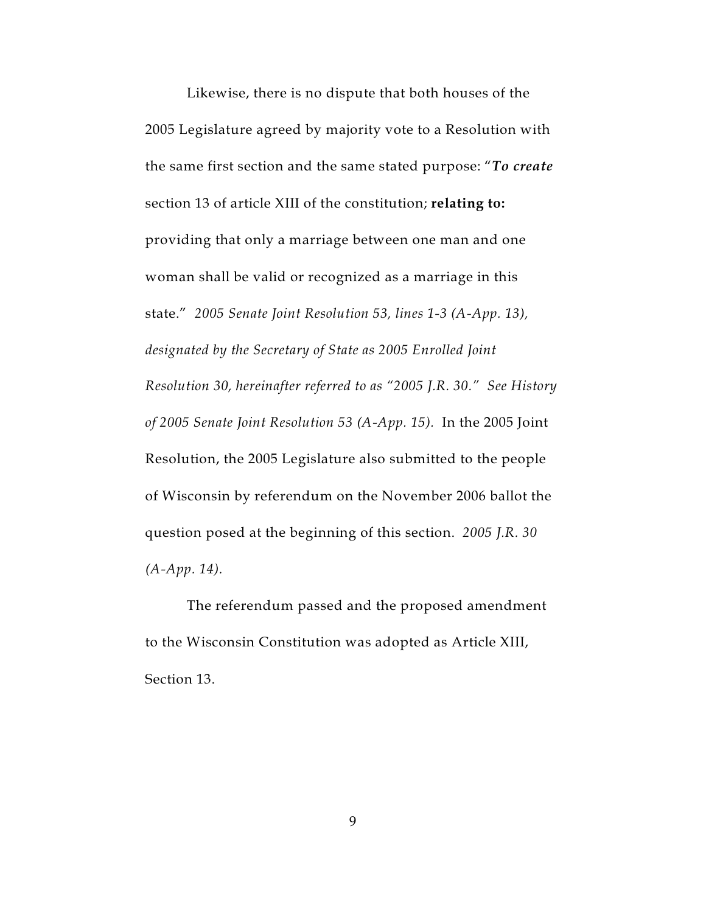Likewise, there is no dispute that both houses of the 2005 Legislature agreed by majority vote to a Resolution with the same first section and the same stated purpose: "*To create* section 13 of article XIII of the constitution; **relating to:** providing that only a marriage between one man and one woman shall be valid or recognized as a marriage in this state." *2005 Senate Joint Resolution 53, lines 1-3 (A-App. 13), designated by the Secretary of State as 2005 Enrolled Joint Resolution 30, hereinafter referred to as "2005 J.R. 30." See History of 2005 Senate Joint Resolution 53 (A-App. 15).* In the 2005 Joint Resolution, the 2005 Legislature also submitted to the people of Wisconsin by referendum on the November 2006 ballot the question posed at the beginning of this section. *2005 J.R. 30 (A-App. 14).*

The referendum passed and the proposed amendment to the Wisconsin Constitution was adopted as Article XIII, Section 13.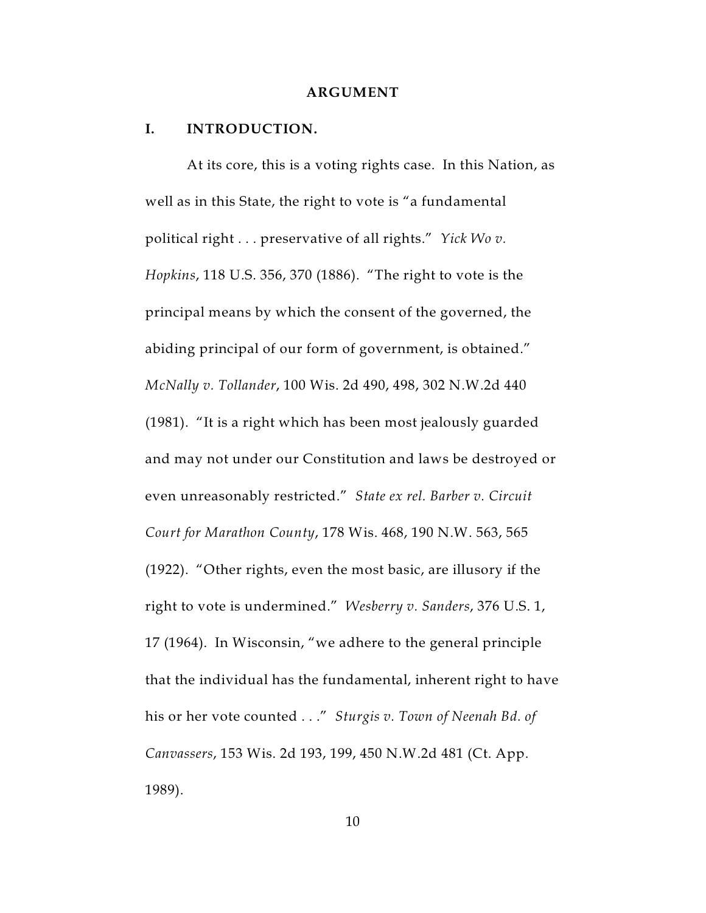#### **ARGUMENT**

#### **I. INTRODUCTION.**

At its core, this is a voting rights case. In this Nation, as well as in this State, the right to vote is "a fundamental political right . . . preservative of all rights." *Yick Wo v. Hopkins*, 118 U.S. 356, 370 (1886). "The right to vote is the principal means by which the consent of the governed, the abiding principal of our form of government, is obtained." *McNally v. Tollander*, 100 Wis. 2d 490, 498, 302 N.W.2d 440 (1981). "It is a right which has been most jealously guarded and may not under our Constitution and laws be destroyed or even unreasonably restricted." *State ex rel. Barber v. Circuit Court for Marathon County*, 178 Wis. 468, 190 N.W. 563, 565 (1922). "Other rights, even the most basic, are illusory if the right to vote is undermined." *Wesberry v. Sanders*, 376 U.S. 1, 17 (1964). In Wisconsin, "we adhere to the general principle that the individual has the fundamental, inherent right to have his or her vote counted . . ." *Sturgis v. Town of Neenah Bd. of Canvassers*, 153 Wis. 2d 193, 199, 450 N.W.2d 481 (Ct. App. 1989).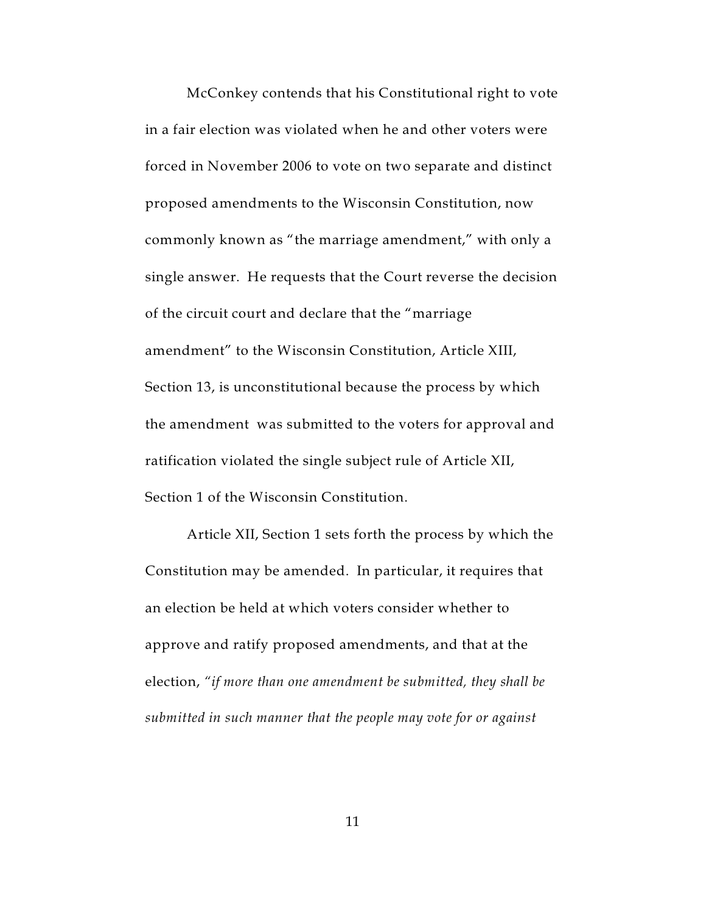McConkey contends that his Constitutional right to vote in a fair election was violated when he and other voters were forced in November 2006 to vote on two separate and distinct proposed amendments to the Wisconsin Constitution, now commonly known as "the marriage amendment," with only a single answer. He requests that the Court reverse the decision of the circuit court and declare that the "marriage amendment" to the Wisconsin Constitution, Article XIII, Section 13, is unconstitutional because the process by which the amendment was submitted to the voters for approval and ratification violated the single subject rule of Article XII, Section 1 of the Wisconsin Constitution.

Article XII, Section 1 sets forth the process by which the Constitution may be amended. In particular, it requires that an election be held at which voters consider whether to approve and ratify proposed amendments, and that at the election, *"if more than one amendment be submitted, they shall be submitted in such manner that the people may vote for or against*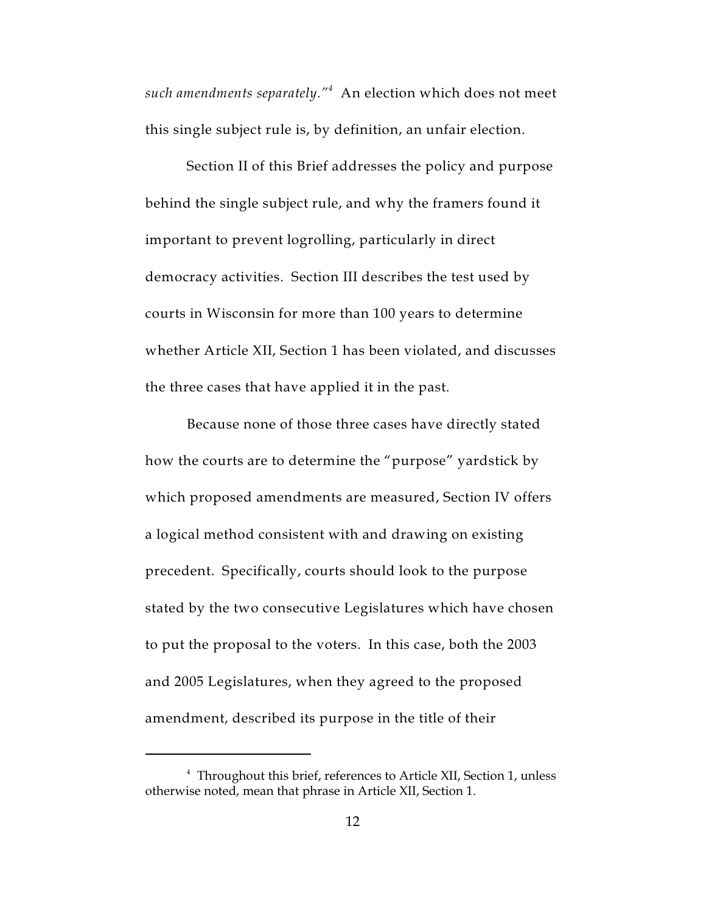*such amendments separately.*"<sup>4</sup> An election which does not meet this single subject rule is, by definition, an unfair election.

Section II of this Brief addresses the policy and purpose behind the single subject rule, and why the framers found it important to prevent logrolling, particularly in direct democracy activities. Section III describes the test used by courts in Wisconsin for more than 100 years to determine whether Article XII, Section 1 has been violated, and discusses the three cases that have applied it in the past.

Because none of those three cases have directly stated how the courts are to determine the "purpose" yardstick by which proposed amendments are measured, Section IV offers a logical method consistent with and drawing on existing precedent. Specifically, courts should look to the purpose stated by the two consecutive Legislatures which have chosen to put the proposal to the voters. In this case, both the 2003 and 2005 Legislatures, when they agreed to the proposed amendment, described its purpose in the title of their

<sup>&</sup>lt;sup>4</sup> Throughout this brief, references to Article XII, Section 1, unless otherwise noted, mean that phrase in Article XII, Section 1.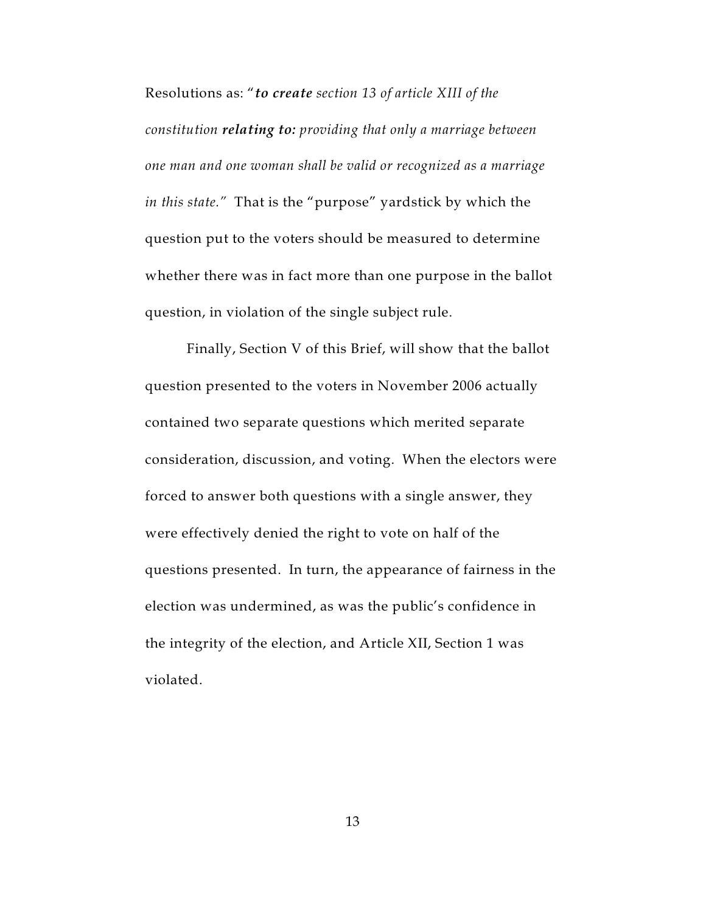Resolutions as: "*to create section 13 of article XIII of the constitution relating to: providing that only a marriage between one man and one woman shall be valid or recognized as a marriage in this state."* That is the "purpose" yardstick by which the question put to the voters should be measured to determine whether there was in fact more than one purpose in the ballot question, in violation of the single subject rule.

Finally, Section V of this Brief, will show that the ballot question presented to the voters in November 2006 actually contained two separate questions which merited separate consideration, discussion, and voting. When the electors were forced to answer both questions with a single answer, they were effectively denied the right to vote on half of the questions presented. In turn, the appearance of fairness in the election was undermined, as was the public's confidence in the integrity of the election, and Article XII, Section 1 was violated.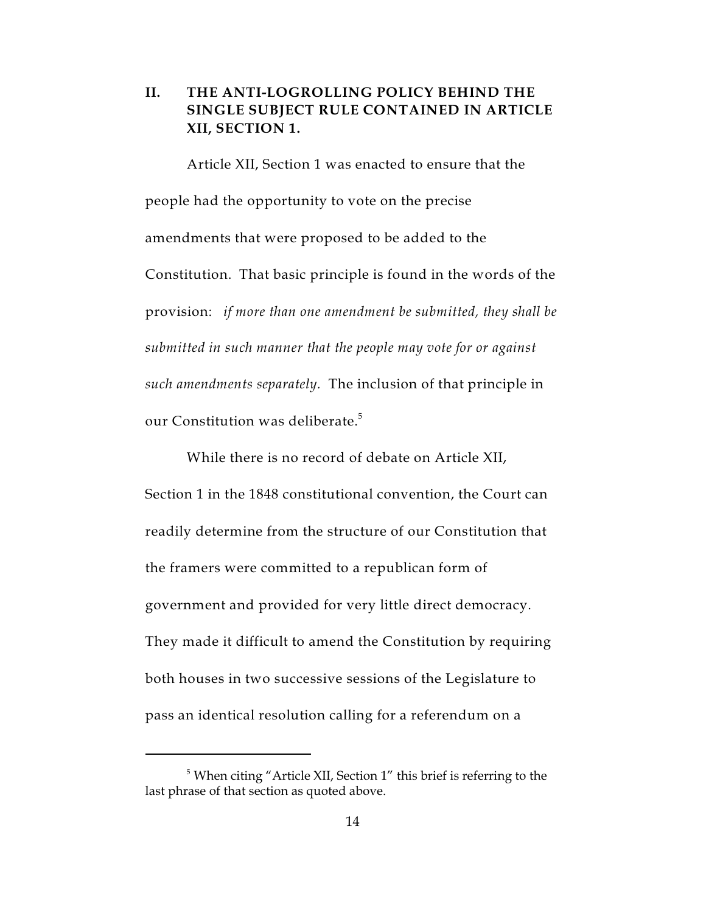## **II. THE ANTI-LOGROLLING POLICY BEHIND THE SINGLE SUBJECT RULE CONTAINED IN ARTICLE XII, SECTION 1.**

Article XII, Section 1 was enacted to ensure that the people had the opportunity to vote on the precise amendments that were proposed to be added to the Constitution. That basic principle is found in the words of the provision: *if more than one amendment be submitted, they shall be submitted in such manner that the people may vote for or against such amendments separately.* The inclusion of that principle in our Constitution was deliberate.<sup>5</sup>

While there is no record of debate on Article XII, Section 1 in the 1848 constitutional convention, the Court can readily determine from the structure of our Constitution that the framers were committed to a republican form of government and provided for very little direct democracy. They made it difficult to amend the Constitution by requiring both houses in two successive sessions of the Legislature to pass an identical resolution calling for a referendum on a

 $5$  When citing "Article XII, Section 1" this brief is referring to the last phrase of that section as quoted above.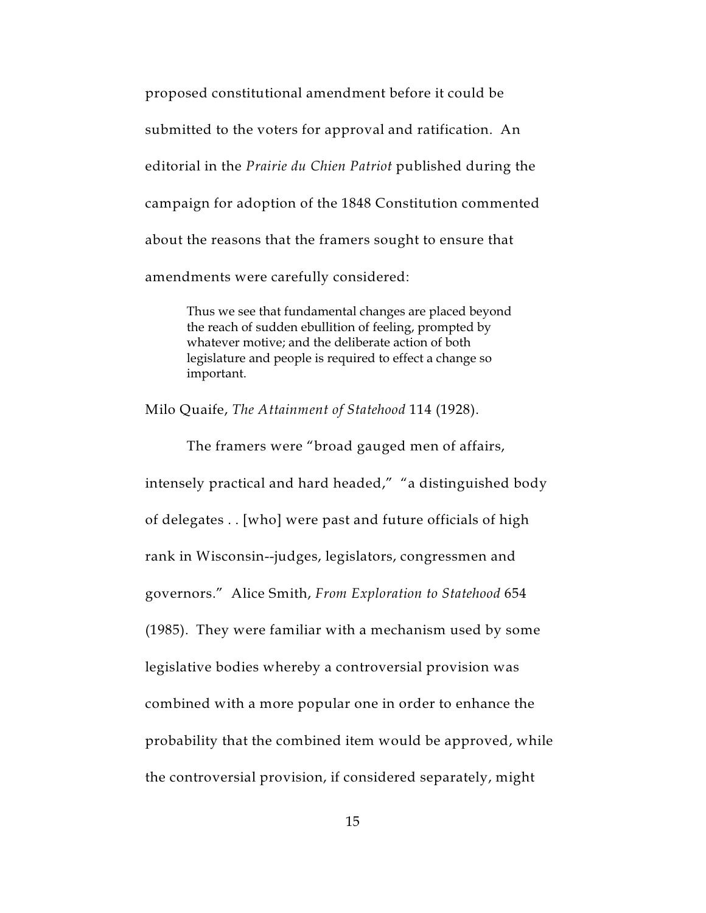proposed constitutional amendment before it could be submitted to the voters for approval and ratification. An editorial in the *Prairie du Chien Patriot* published during the campaign for adoption of the 1848 Constitution commented about the reasons that the framers sought to ensure that amendments were carefully considered:

> Thus we see that fundamental changes are placed beyond the reach of sudden ebullition of feeling, prompted by whatever motive; and the deliberate action of both legislature and people is required to effect a change so important.

Milo Quaife, *The Attainment of Statehood* 114 (1928).

The framers were "broad gauged men of affairs, intensely practical and hard headed," "a distinguished body of delegates . . [who] were past and future officials of high rank in Wisconsin--judges, legislators, congressmen and governors." Alice Smith, *From Exploration to Statehood* 654 (1985). They were familiar with a mechanism used by some legislative bodies whereby a controversial provision was combined with a more popular one in order to enhance the probability that the combined item would be approved, while the controversial provision, if considered separately, might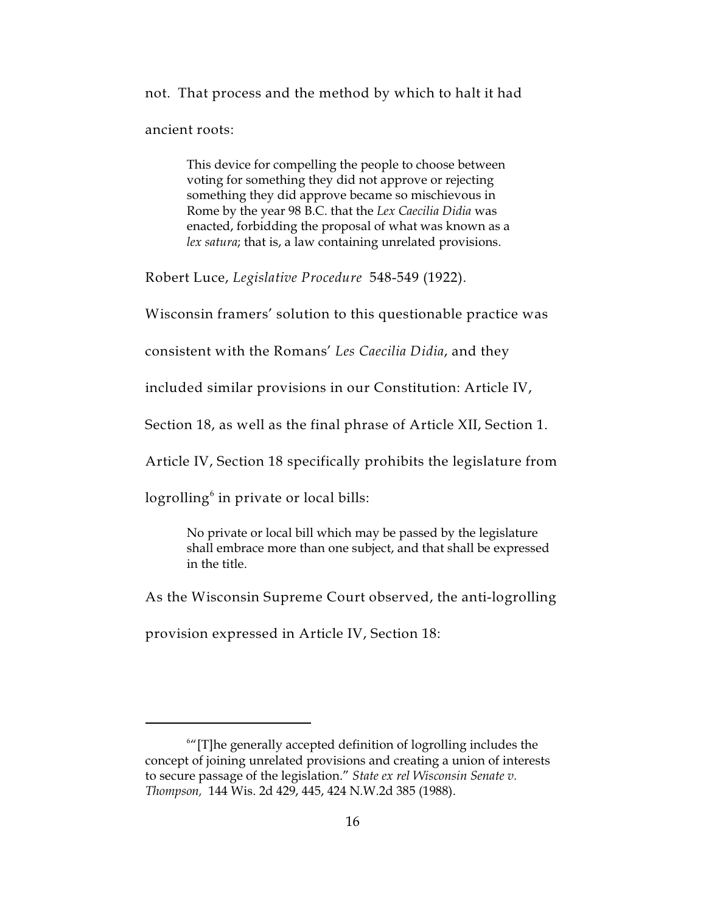not. That process and the method by which to halt it had ancient roots:

> This device for compelling the people to choose between voting for something they did not approve or rejecting something they did approve became so mischievous in Rome by the year 98 B.C. that the *Lex Caecilia Didia* was enacted, forbidding the proposal of what was known as a *lex satura*; that is, a law containing unrelated provisions.

Robert Luce, *Legislative Procedure* 548-549 (1922).

Wisconsin framers' solution to this questionable practice was

consistent with the Romans' *Les Caecilia Didia*, and they

included similar provisions in our Constitution: Article IV,

Section 18, as well as the final phrase of Article XII, Section 1.

Article IV, Section 18 specifically prohibits the legislature from

logrolling<sup>6</sup> in private or local bills:

No private or local bill which may be passed by the legislature shall embrace more than one subject, and that shall be expressed in the title.

As the Wisconsin Supreme Court observed, the anti-logrolling

provision expressed in Article IV, Section 18:

 $^{6}$ "[T]he generally accepted definition of logrolling includes the concept of joining unrelated provisions and creating a union of interests to secure passage of the legislation." *State ex rel Wisconsin Senate v. Thompson,* 144 Wis. 2d 429, 445, 424 N.W.2d 385 (1988).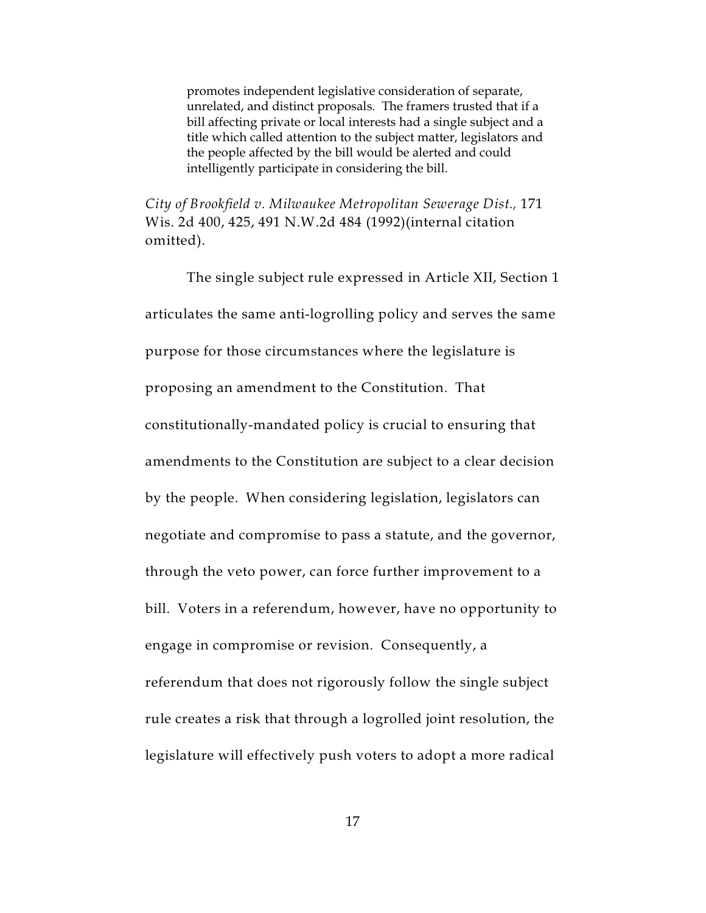promotes independent legislative consideration of separate, unrelated, and distinct proposals. The framers trusted that if a bill affecting private or local interests had a single subject and a title which called attention to the subject matter, legislators and the people affected by the bill would be alerted and could intelligently participate in considering the bill.

*City of Brookfield v. Milwaukee Metropolitan Sewerage Dist.,* 171 Wis. 2d 400, 425, 491 N.W.2d 484 (1992)(internal citation omitted).

The single subject rule expressed in Article XII, Section 1 articulates the same anti-logrolling policy and serves the same purpose for those circumstances where the legislature is proposing an amendment to the Constitution. That constitutionally-mandated policy is crucial to ensuring that amendments to the Constitution are subject to a clear decision by the people. When considering legislation, legislators can negotiate and compromise to pass a statute, and the governor, through the veto power, can force further improvement to a bill. Voters in a referendum, however, have no opportunity to engage in compromise or revision. Consequently, a referendum that does not rigorously follow the single subject rule creates a risk that through a logrolled joint resolution, the legislature will effectively push voters to adopt a more radical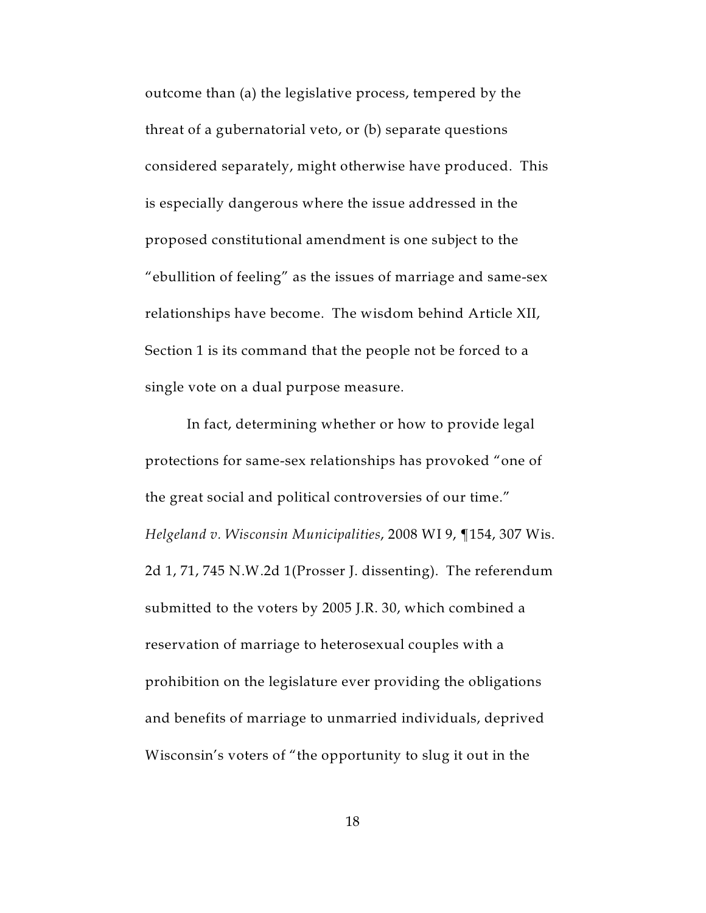outcome than (a) the legislative process, tempered by the threat of a gubernatorial veto, or (b) separate questions considered separately, might otherwise have produced. This is especially dangerous where the issue addressed in the proposed constitutional amendment is one subject to the "ebullition of feeling" as the issues of marriage and same-sex relationships have become. The wisdom behind Article XII, Section 1 is its command that the people not be forced to a single vote on a dual purpose measure.

In fact, determining whether or how to provide legal protections for same-sex relationships has provoked "one of the great social and political controversies of our time." *Helgeland v. Wisconsin Municipalities*, 2008 WI 9, ¶154, 307 Wis. 2d 1, 71, 745 N.W.2d 1(Prosser J. dissenting). The referendum submitted to the voters by 2005 J.R. 30, which combined a reservation of marriage to heterosexual couples with a prohibition on the legislature ever providing the obligations and benefits of marriage to unmarried individuals, deprived Wisconsin's voters of "the opportunity to slug it out in the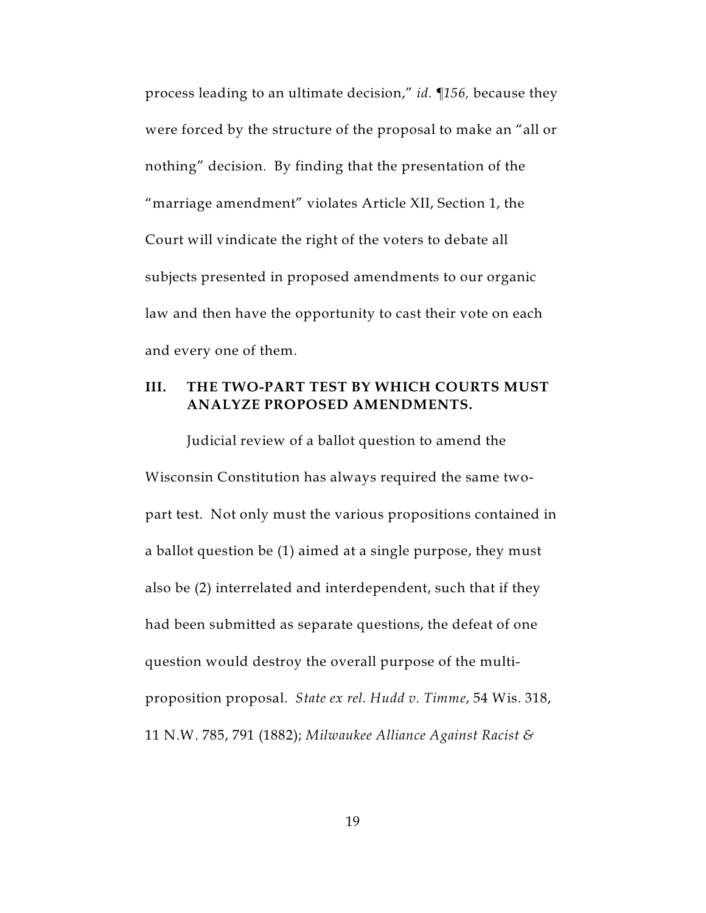process leading to an ultimate decision," *id. ¶156,* because they were forced by the structure of the proposal to make an "all or nothing" decision. By finding that the presentation of the "marriage amendment" violates Article XII, Section 1, the Court will vindicate the right of the voters to debate all subjects presented in proposed amendments to our organic law and then have the opportunity to cast their vote on each and every one of them.

#### **III. THE TWO-PART TEST BY WHICH COURTS MUST ANALYZE PROPOSED AMENDMENTS.**

Judicial review of a ballot question to amend the Wisconsin Constitution has always required the same twopart test. Not only must the various propositions contained in a ballot question be (1) aimed at a single purpose, they must also be (2) interrelated and interdependent, such that if they had been submitted as separate questions, the defeat of one question would destroy the overall purpose of the multiproposition proposal. *State ex rel. Hudd v. Timme*, 54 Wis. 318, 11 N.W. 785, 791 (1882); *Milwaukee Alliance Against Racist &*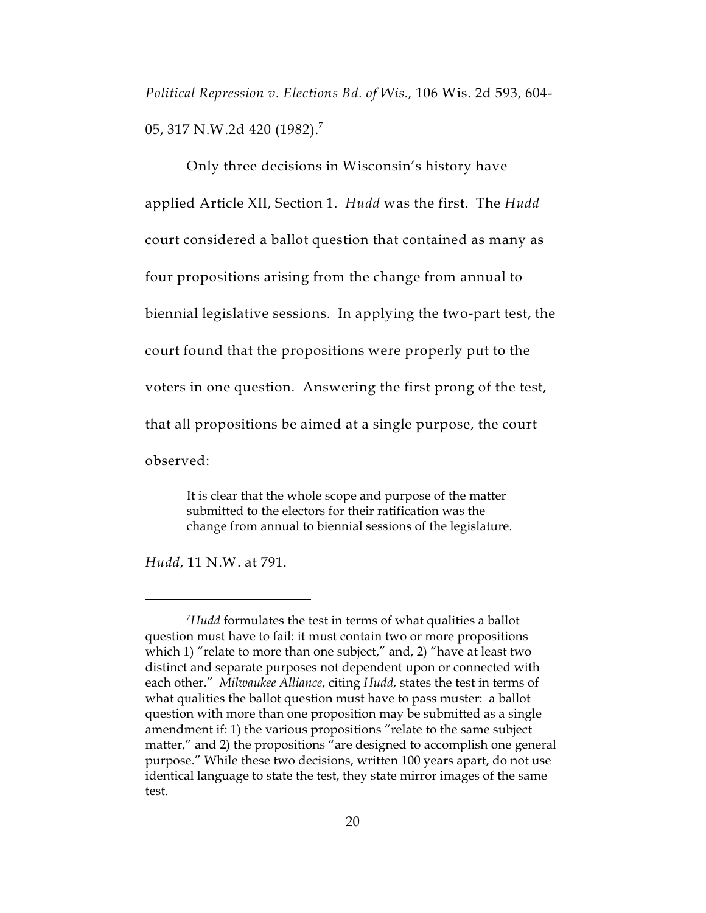*Political Repression v. Elections Bd. of Wis.,* 106 Wis. 2d 593, 604- 05, 317 N.W.2d 420 (1982).<sup>7</sup>

Only three decisions in Wisconsin's history have applied Article XII, Section 1. *Hudd* was the first. The *Hudd* court considered a ballot question that contained as many as four propositions arising from the change from annual to biennial legislative sessions. In applying the two-part test, the court found that the propositions were properly put to the voters in one question. Answering the first prong of the test, that all propositions be aimed at a single purpose, the court observed:

It is clear that the whole scope and purpose of the matter submitted to the electors for their ratification was the change from annual to biennial sessions of the legislature.

*Hudd*, 11 N.W. at 791.

 $^7$ H $u$ dd formulates the test in terms of what qualities a ballot question must have to fail: it must contain two or more propositions which 1) "relate to more than one subject," and, 2) "have at least two distinct and separate purposes not dependent upon or connected with each other." *Milwaukee Alliance*, citing *Hudd*, states the test in terms of what qualities the ballot question must have to pass muster: a ballot question with more than one proposition may be submitted as a single amendment if: 1) the various propositions "relate to the same subject matter," and 2) the propositions "are designed to accomplish one general purpose." While these two decisions, written 100 years apart, do not use identical language to state the test, they state mirror images of the same test.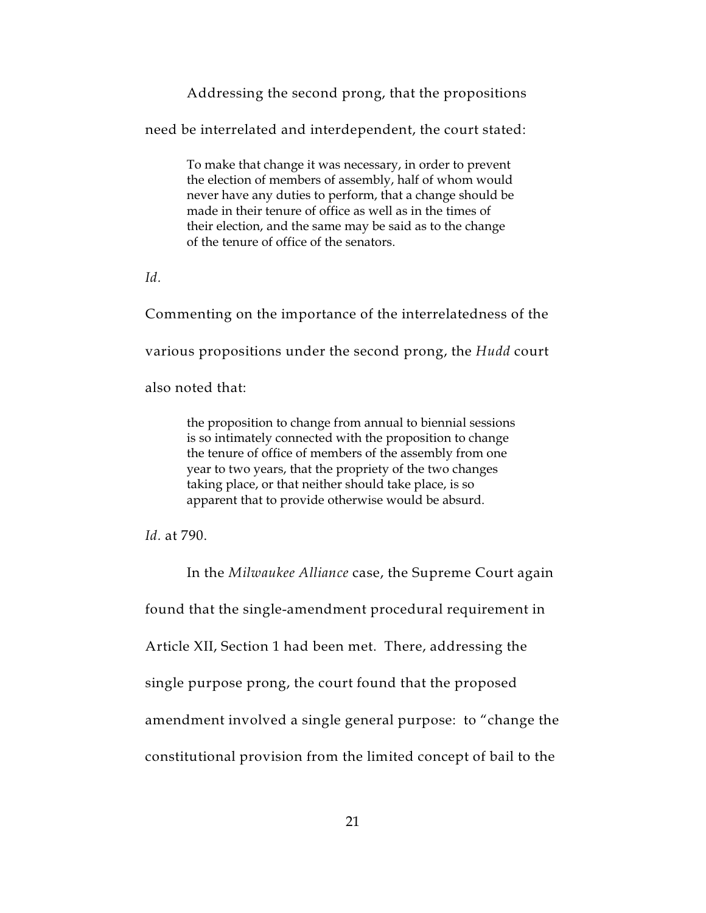Addressing the second prong, that the propositions

need be interrelated and interdependent, the court stated:

To make that change it was necessary, in order to prevent the election of members of assembly, half of whom would never have any duties to perform, that a change should be made in their tenure of office as well as in the times of their election, and the same may be said as to the change of the tenure of office of the senators.

*Id.* 

Commenting on the importance of the interrelatedness of the various propositions under the second prong, the *Hudd* court also noted that:

> the proposition to change from annual to biennial sessions is so intimately connected with the proposition to change the tenure of office of members of the assembly from one year to two years, that the propriety of the two changes taking place, or that neither should take place, is so apparent that to provide otherwise would be absurd.

*Id.* at 790.

In the *Milwaukee Alliance* case, the Supreme Court again

found that the single-amendment procedural requirement in

Article XII, Section 1 had been met. There, addressing the

single purpose prong, the court found that the proposed

amendment involved a single general purpose: to "change the

constitutional provision from the limited concept of bail to the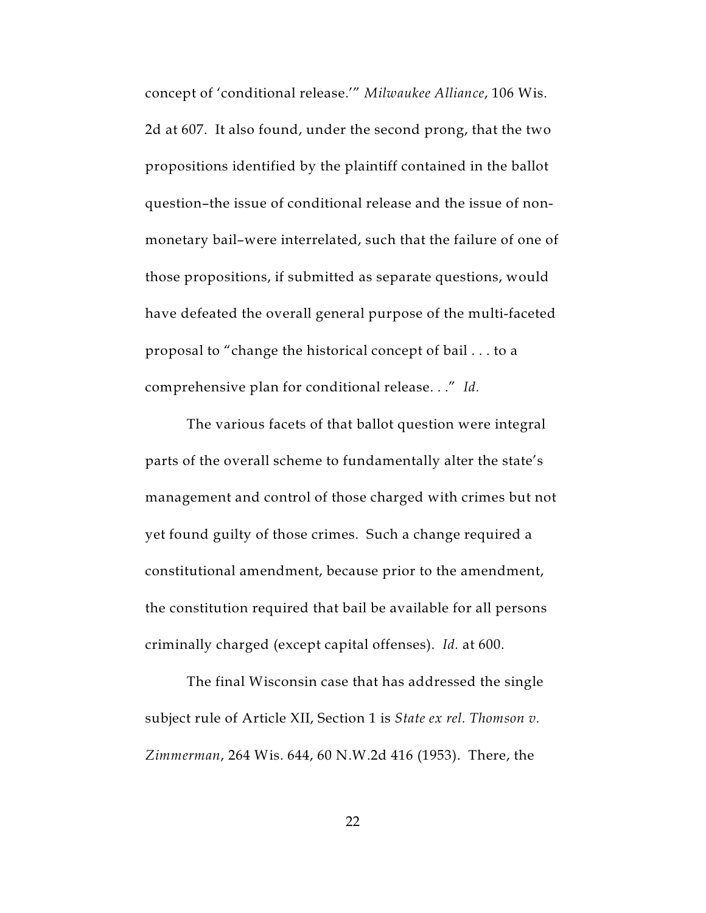concept of 'conditional release.'" *Milwaukee Alliance*, 106 Wis. 2d at 607. It also found, under the second prong, that the two propositions identified by the plaintiff contained in the ballot question–the issue of conditional release and the issue of nonmonetary bail–were interrelated, such that the failure of one of those propositions, if submitted as separate questions, would have defeated the overall general purpose of the multi-faceted proposal to "change the historical concept of bail . . . to a comprehensive plan for conditional release. . ." *Id.* 

The various facets of that ballot question were integral parts of the overall scheme to fundamentally alter the state's management and control of those charged with crimes but not yet found guilty of those crimes. Such a change required a constitutional amendment, because prior to the amendment, the constitution required that bail be available for all persons criminally charged (except capital offenses). *Id.* at 600.

The final Wisconsin case that has addressed the single subject rule of Article XII, Section 1 is *State ex rel. Thomson v. Zimmerman*, 264 Wis. 644, 60 N.W.2d 416 (1953). There, the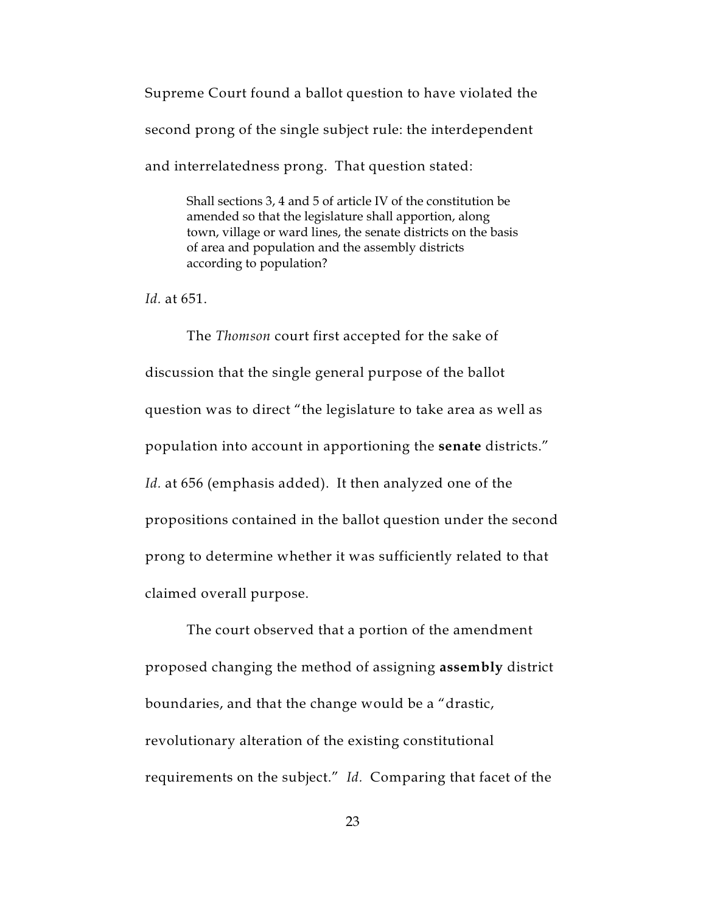Supreme Court found a ballot question to have violated the second prong of the single subject rule: the interdependent and interrelatedness prong. That question stated:

> Shall sections 3, 4 and 5 of article IV of the constitution be amended so that the legislature shall apportion, along town, village or ward lines, the senate districts on the basis of area and population and the assembly districts according to population?

*Id.* at 651.

The *Thomson* court first accepted for the sake of discussion that the single general purpose of the ballot question was to direct "the legislature to take area as well as population into account in apportioning the **senate** districts." *Id.* at 656 (emphasis added). It then analyzed one of the propositions contained in the ballot question under the second prong to determine whether it was sufficiently related to that claimed overall purpose.

The court observed that a portion of the amendment proposed changing the method of assigning **assembly** district boundaries, and that the change would be a "drastic, revolutionary alteration of the existing constitutional requirements on the subject." *Id.* Comparing that facet of the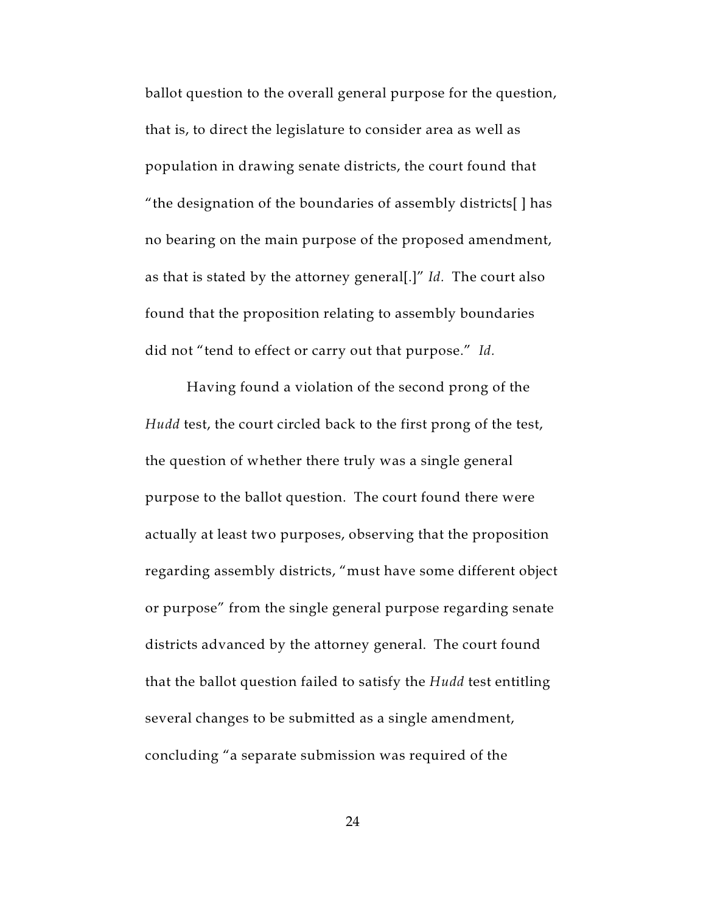ballot question to the overall general purpose for the question, that is, to direct the legislature to consider area as well as population in drawing senate districts, the court found that "the designation of the boundaries of assembly districts[ ] has no bearing on the main purpose of the proposed amendment, as that is stated by the attorney general[.]" *Id.* The court also found that the proposition relating to assembly boundaries did not "tend to effect or carry out that purpose." *Id.*

Having found a violation of the second prong of the *Hudd* test, the court circled back to the first prong of the test, the question of whether there truly was a single general purpose to the ballot question. The court found there were actually at least two purposes, observing that the proposition regarding assembly districts, "must have some different object or purpose" from the single general purpose regarding senate districts advanced by the attorney general. The court found that the ballot question failed to satisfy the *Hudd* test entitling several changes to be submitted as a single amendment, concluding "a separate submission was required of the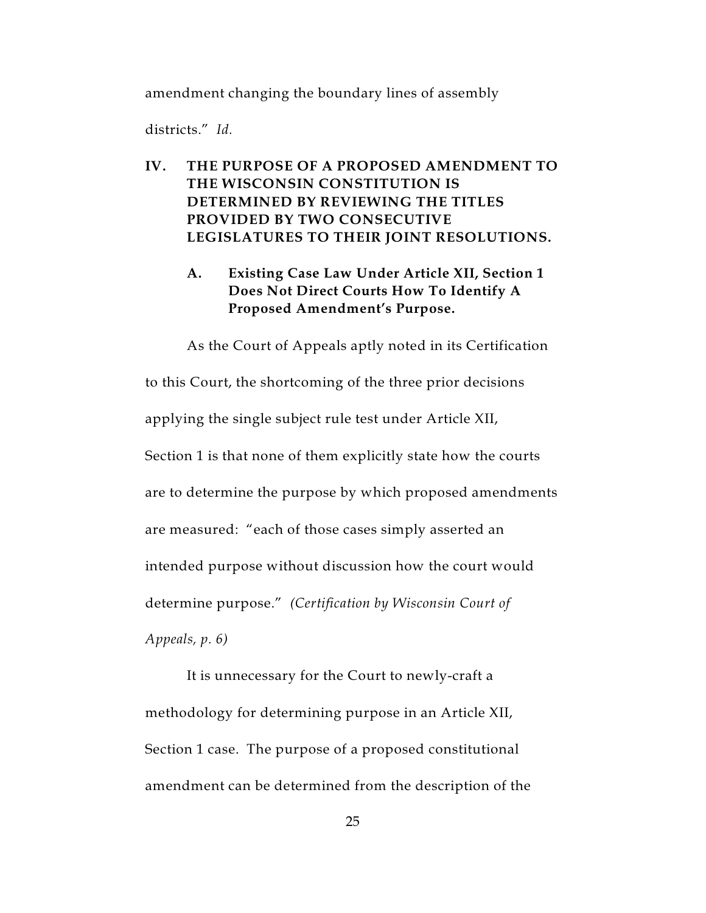amendment changing the boundary lines of assembly

districts." *Id.*

## **IV. THE PURPOSE OF A PROPOSED AMENDMENT TO THE WISCONSIN CONSTITUTION IS DETERMINED BY REVIEWING THE TITLES PROVIDED BY TWO CONSECUTIVE LEGISLATURES TO THEIR JOINT RESOLUTIONS.**

## **A. Existing Case Law Under Article XII, Section 1 Does Not Direct Courts How To Identify A Proposed Amendment's Purpose.**

As the Court of Appeals aptly noted in its Certification to this Court, the shortcoming of the three prior decisions applying the single subject rule test under Article XII, Section 1 is that none of them explicitly state how the courts are to determine the purpose by which proposed amendments are measured: "each of those cases simply asserted an intended purpose without discussion how the court would determine purpose." *(Certification by Wisconsin Court of Appeals, p. 6)* 

It is unnecessary for the Court to newly-craft a methodology for determining purpose in an Article XII, Section 1 case. The purpose of a proposed constitutional amendment can be determined from the description of the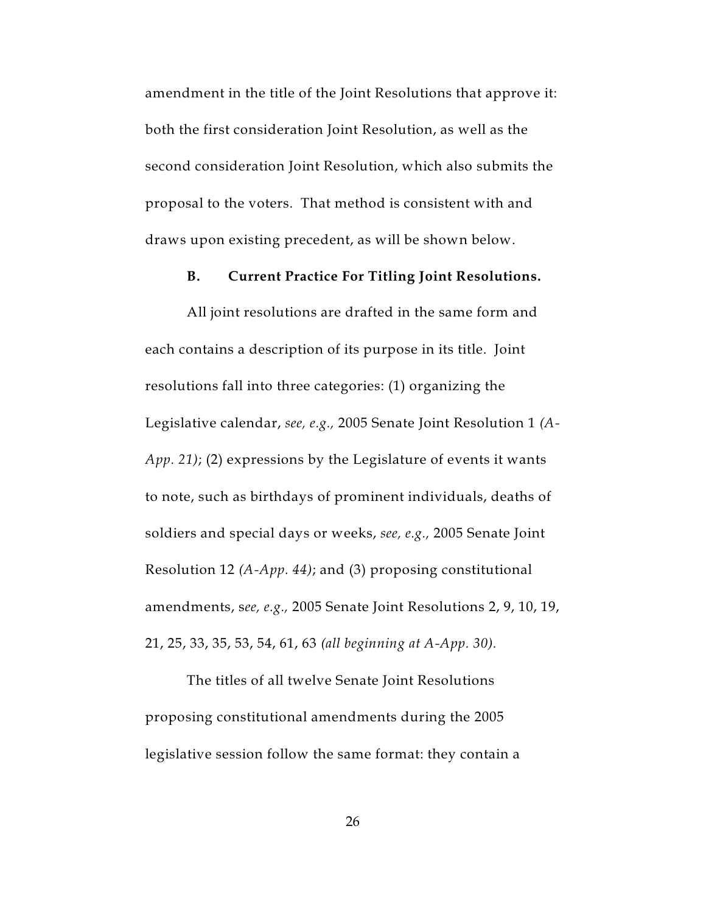amendment in the title of the Joint Resolutions that approve it: both the first consideration Joint Resolution, as well as the second consideration Joint Resolution, which also submits the proposal to the voters. That method is consistent with and draws upon existing precedent, as will be shown below.

#### **B. Current Practice For Titling Joint Resolutions.**

All joint resolutions are drafted in the same form and each contains a description of its purpose in its title. Joint resolutions fall into three categories: (1) organizing the Legislative calendar, *see, e.g.,* 2005 Senate Joint Resolution 1 *(A-App. 21)*; (2) expressions by the Legislature of events it wants to note, such as birthdays of prominent individuals, deaths of soldiers and special days or weeks, *see, e.g.,* 2005 Senate Joint Resolution 12 *(A-App. 44)*; and (3) proposing constitutional amendments, s*ee, e.g.,* 2005 Senate Joint Resolutions 2, 9, 10, 19, 21, 25, 33, 35, 53, 54, 61, 63 *(all beginning at A-App. 30).* 

The titles of all twelve Senate Joint Resolutions proposing constitutional amendments during the 2005 legislative session follow the same format: they contain a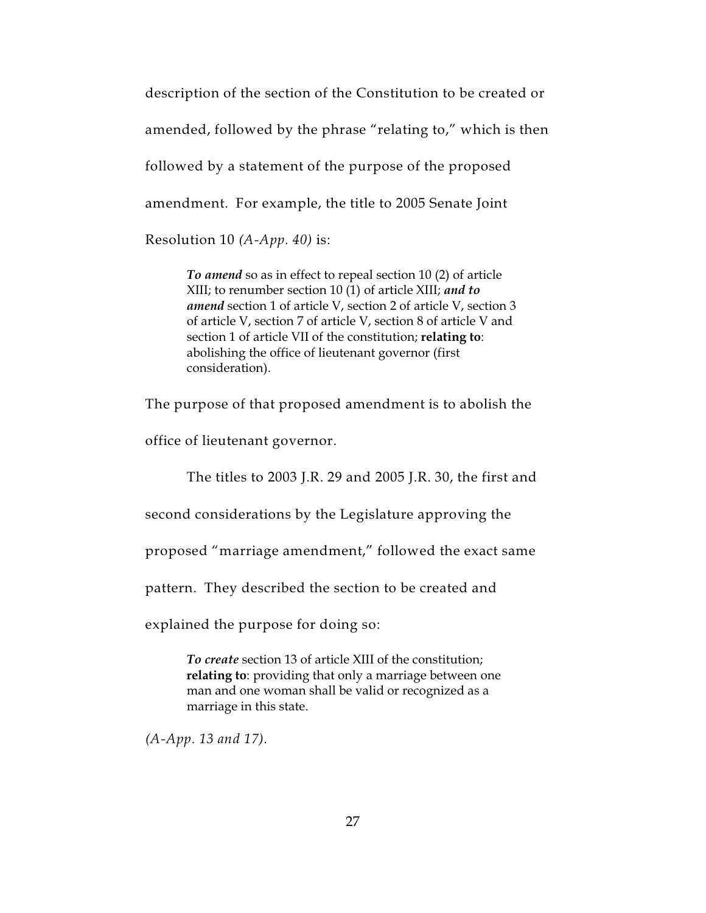description of the section of the Constitution to be created or amended, followed by the phrase "relating to," which is then followed by a statement of the purpose of the proposed amendment. For example, the title to 2005 Senate Joint Resolution 10 *(A-App. 40)* is:

*To amend* so as in effect to repeal section 10 (2) of article XIII; to renumber section 10 (1) of article XIII; *and to amend* section 1 of article V, section 2 of article V, section 3 of article V, section 7 of article V, section 8 of article V and section 1 of article VII of the constitution; **relating to**: abolishing the office of lieutenant governor (first consideration).

The purpose of that proposed amendment is to abolish the

office of lieutenant governor.

The titles to 2003 J.R. 29 and 2005 J.R. 30, the first and

second considerations by the Legislature approving the

proposed "marriage amendment," followed the exact same

pattern. They described the section to be created and

explained the purpose for doing so:

*To create* section 13 of article XIII of the constitution; **relating to**: providing that only a marriage between one man and one woman shall be valid or recognized as a marriage in this state.

*(A-App. 13 and 17).*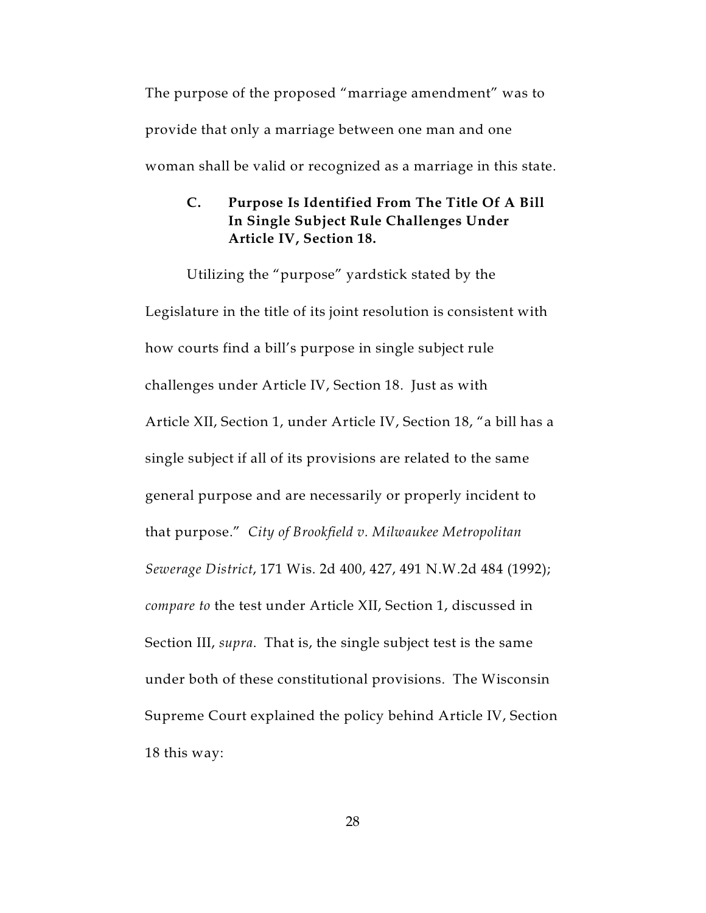The purpose of the proposed "marriage amendment" was to provide that only a marriage between one man and one woman shall be valid or recognized as a marriage in this state.

## **C. Purpose Is Identified From The Title Of A Bill In Single Subject Rule Challenges Under Article IV, Section 18.**

Utilizing the "purpose" yardstick stated by the Legislature in the title of its joint resolution is consistent with how courts find a bill's purpose in single subject rule challenges under Article IV, Section 18. Just as with Article XII, Section 1, under Article IV, Section 18, "a bill has a single subject if all of its provisions are related to the same general purpose and are necessarily or properly incident to that purpose." *City of Brookfield v. Milwaukee Metropolitan Sewerage District*, 171 Wis. 2d 400, 427, 491 N.W.2d 484 (1992); *compare to* the test under Article XII, Section 1, discussed in Section III, *supra*. That is, the single subject test is the same under both of these constitutional provisions. The Wisconsin Supreme Court explained the policy behind Article IV, Section 18 this way: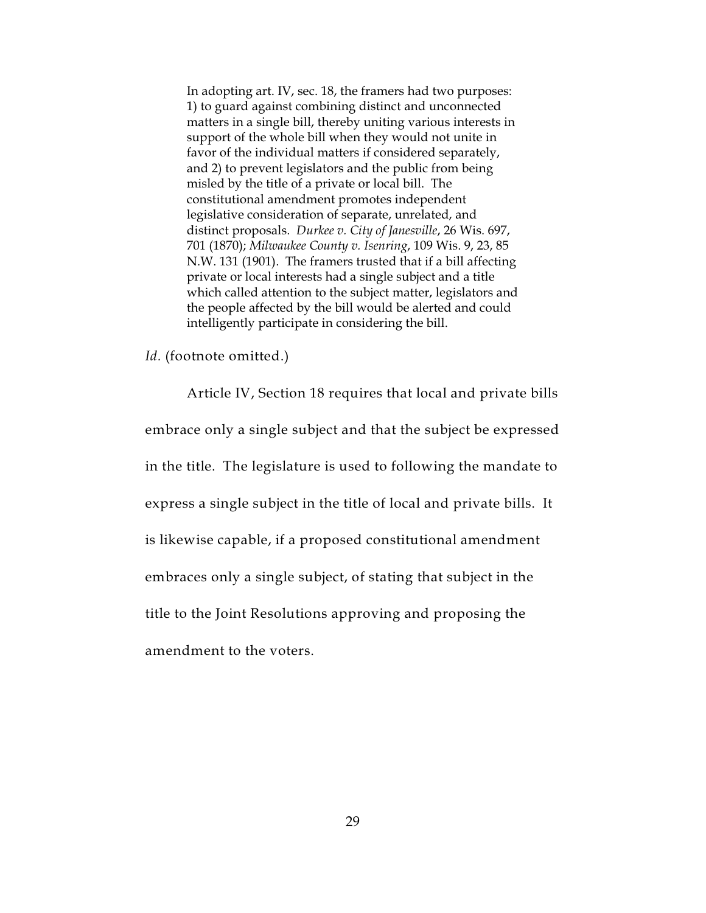In adopting art. IV, sec. 18, the framers had two purposes: 1) to guard against combining distinct and unconnected matters in a single bill, thereby uniting various interests in support of the whole bill when they would not unite in favor of the individual matters if considered separately, and 2) to prevent legislators and the public from being misled by the title of a private or local bill. The constitutional amendment promotes independent legislative consideration of separate, unrelated, and distinct proposals. *Durkee v. City of Janesville*, 26 Wis. 697, 701 (1870); *Milwaukee County v. Isenring*, 109 Wis. 9, 23, 85 N.W. 131 (1901). The framers trusted that if a bill affecting private or local interests had a single subject and a title which called attention to the subject matter, legislators and the people affected by the bill would be alerted and could intelligently participate in considering the bill.

Id. (footnote omitted.)

Article IV, Section 18 requires that local and private bills embrace only a single subject and that the subject be expressed in the title. The legislature is used to following the mandate to express a single subject in the title of local and private bills. It is likewise capable, if a proposed constitutional amendment embraces only a single subject, of stating that subject in the title to the Joint Resolutions approving and proposing the amendment to the voters.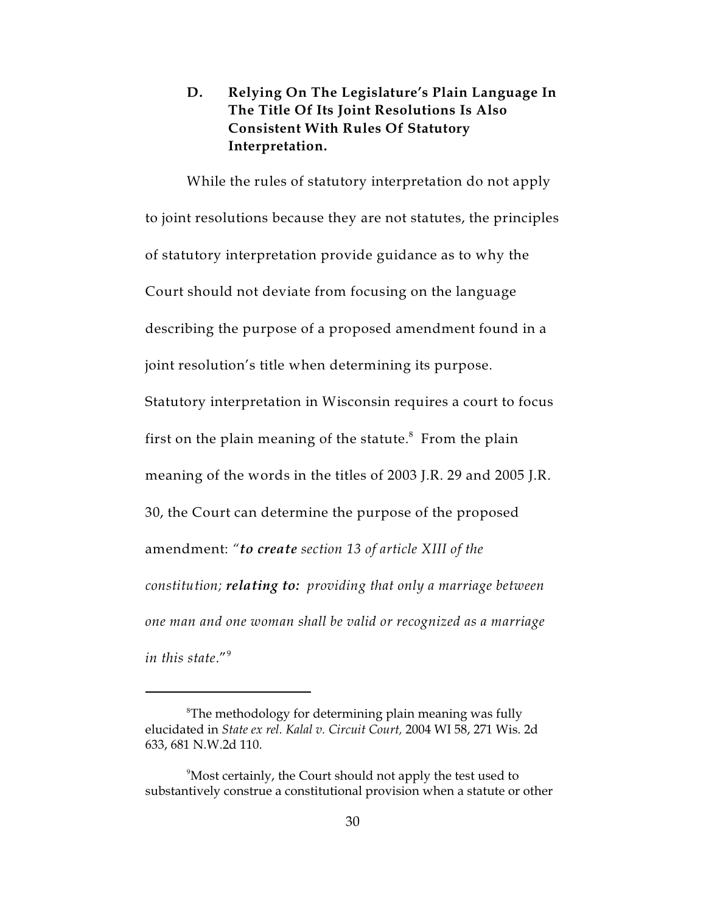## **D. Relying On The Legislature's Plain Language In The Title Of Its Joint Resolutions Is Also Consistent With Rules Of Statutory Interpretation.**

While the rules of statutory interpretation do not apply to joint resolutions because they are not statutes, the principles of statutory interpretation provide guidance as to why the Court should not deviate from focusing on the language describing the purpose of a proposed amendment found in a joint resolution's title when determining its purpose. Statutory interpretation in Wisconsin requires a court to focus first on the plain meaning of the statute. $\delta$  From the plain meaning of the words in the titles of 2003 J.R. 29 and 2005 J.R. 30, the Court can determine the purpose of the proposed amendment: *"to create section 13 of article XIII of the constitution; relating to: providing that only a marriage between one man and one woman shall be valid or recognized as a marriage in this state*."<sup>9</sup>

 ${}^{\text{8}}$ The methodology for determining plain meaning was fully elucidated in *State ex rel. Kalal v. Circuit Court,* 2004 WI 58, 271 Wis. 2d 633, 681 N.W.2d 110.

<sup>&</sup>lt;sup>9</sup>Most certainly, the Court should not apply the test used to substantively construe a constitutional provision when a statute or other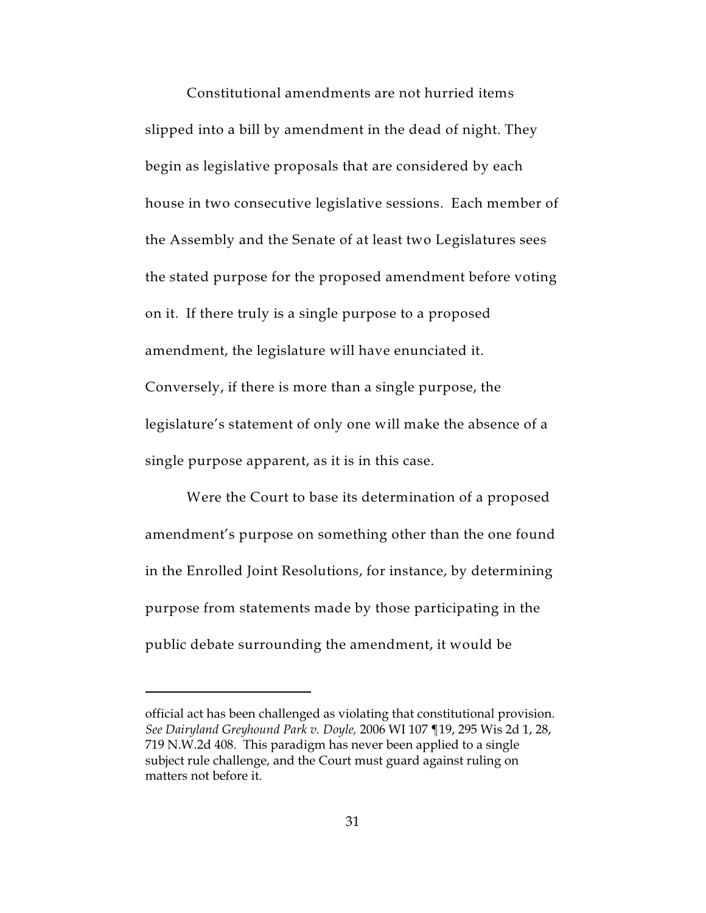Constitutional amendments are not hurried items slipped into a bill by amendment in the dead of night. They begin as legislative proposals that are considered by each house in two consecutive legislative sessions. Each member of the Assembly and the Senate of at least two Legislatures sees the stated purpose for the proposed amendment before voting on it. If there truly is a single purpose to a proposed amendment, the legislature will have enunciated it. Conversely, if there is more than a single purpose, the legislature's statement of only one will make the absence of a single purpose apparent, as it is in this case.

Were the Court to base its determination of a proposed amendment's purpose on something other than the one found in the Enrolled Joint Resolutions, for instance, by determining purpose from statements made by those participating in the public debate surrounding the amendment, it would be

official act has been challenged as violating that constitutional provision. *See Dairyland Greyhound Park v. Doyle,* 2006 WI 107 ¶19, 295 Wis 2d 1, 28, 719 N.W.2d 408. This paradigm has never been applied to a single subject rule challenge, and the Court must guard against ruling on matters not before it.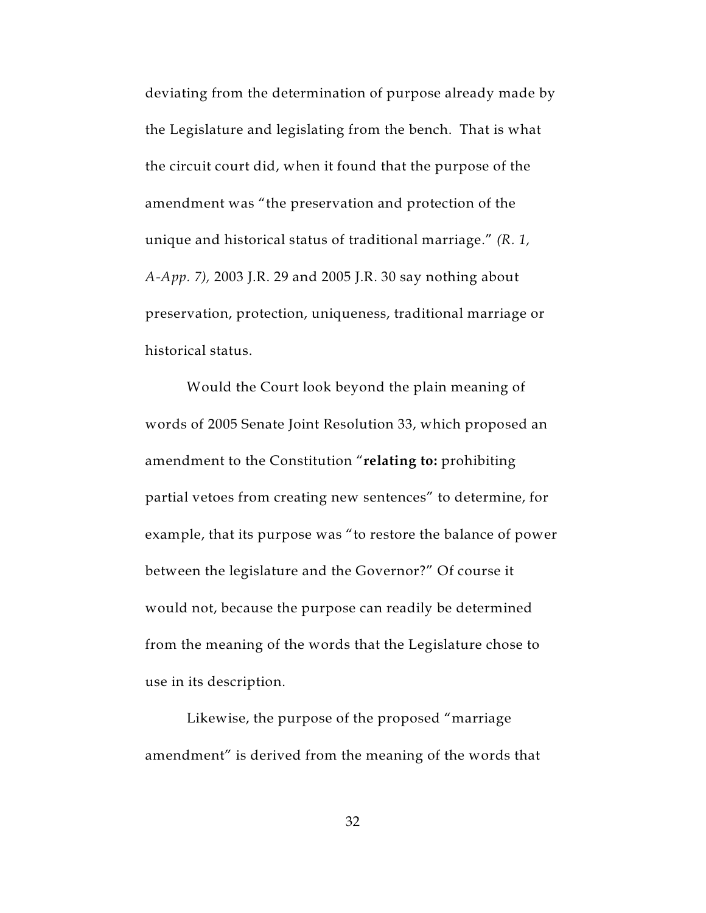deviating from the determination of purpose already made by the Legislature and legislating from the bench. That is what the circuit court did, when it found that the purpose of the amendment was "the preservation and protection of the unique and historical status of traditional marriage." *(R. 1, A-App. 7),* 2003 J.R. 29 and 2005 J.R. 30 say nothing about preservation, protection, uniqueness, traditional marriage or historical status.

Would the Court look beyond the plain meaning of words of 2005 Senate Joint Resolution 33, which proposed an amendment to the Constitution "**relating to:** prohibiting partial vetoes from creating new sentences" to determine, for example, that its purpose was "to restore the balance of power between the legislature and the Governor?" Of course it would not, because the purpose can readily be determined from the meaning of the words that the Legislature chose to use in its description.

Likewise, the purpose of the proposed "marriage amendment" is derived from the meaning of the words that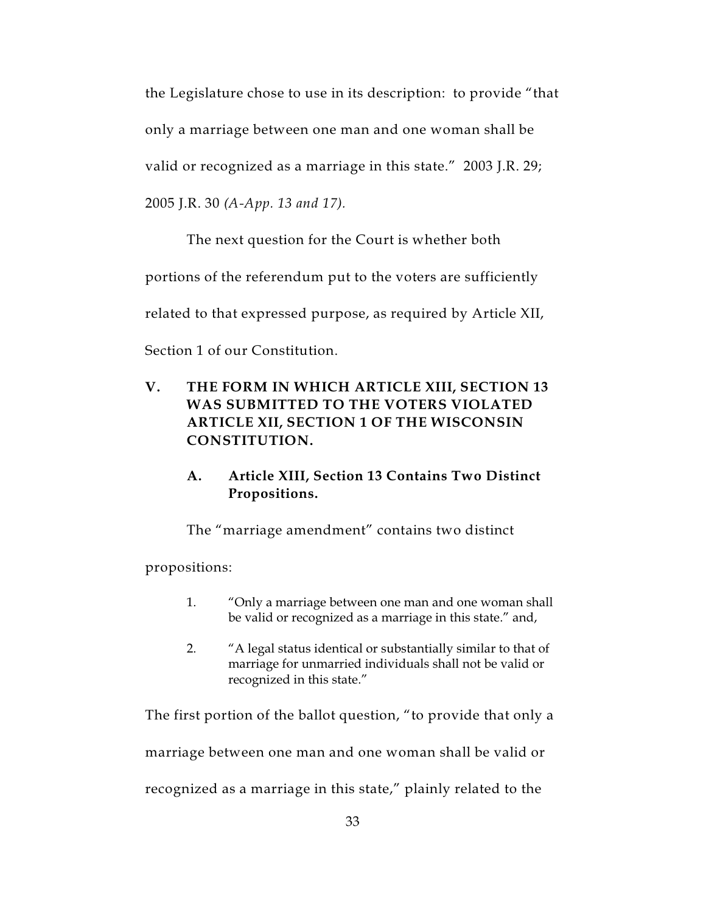the Legislature chose to use in its description: to provide "that only a marriage between one man and one woman shall be valid or recognized as a marriage in this state." 2003 J.R. 29; 2005 J.R. 30 *(A-App. 13 and 17).* 

The next question for the Court is whether both

portions of the referendum put to the voters are sufficiently

related to that expressed purpose, as required by Article XII,

Section 1 of our Constitution.

## **V. THE FORM IN WHICH ARTICLE XIII, SECTION 13 WAS SUBMITTED TO THE VOTERS VIOLATED ARTICLE XII, SECTION 1 OF THE WISCONSIN CONSTITUTION.**

## **A. Article XIII, Section 13 Contains Two Distinct Propositions.**

The "marriage amendment" contains two distinct

propositions:

- 1. "Only a marriage between one man and one woman shall be valid or recognized as a marriage in this state." and,
- 2. "A legal status identical or substantially similar to that of marriage for unmarried individuals shall not be valid or recognized in this state."

The first portion of the ballot question, "to provide that only a marriage between one man and one woman shall be valid or recognized as a marriage in this state," plainly related to the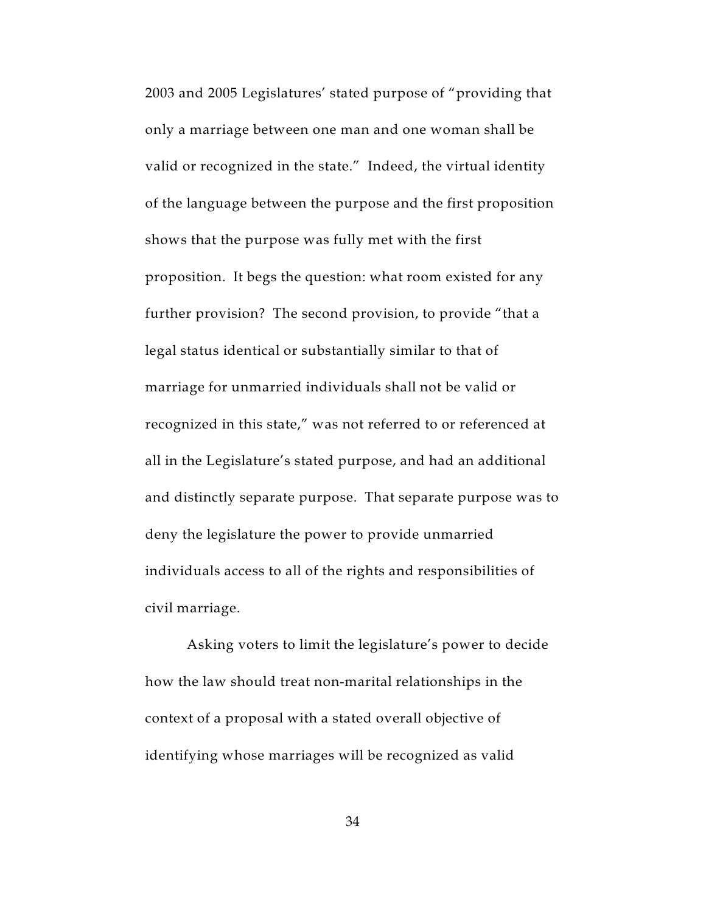2003 and 2005 Legislatures' stated purpose of "providing that only a marriage between one man and one woman shall be valid or recognized in the state." Indeed, the virtual identity of the language between the purpose and the first proposition shows that the purpose was fully met with the first proposition. It begs the question: what room existed for any further provision? The second provision, to provide "that a legal status identical or substantially similar to that of marriage for unmarried individuals shall not be valid or recognized in this state," was not referred to or referenced at all in the Legislature's stated purpose, and had an additional and distinctly separate purpose. That separate purpose was to deny the legislature the power to provide unmarried individuals access to all of the rights and responsibilities of civil marriage.

Asking voters to limit the legislature's power to decide how the law should treat non-marital relationships in the context of a proposal with a stated overall objective of identifying whose marriages will be recognized as valid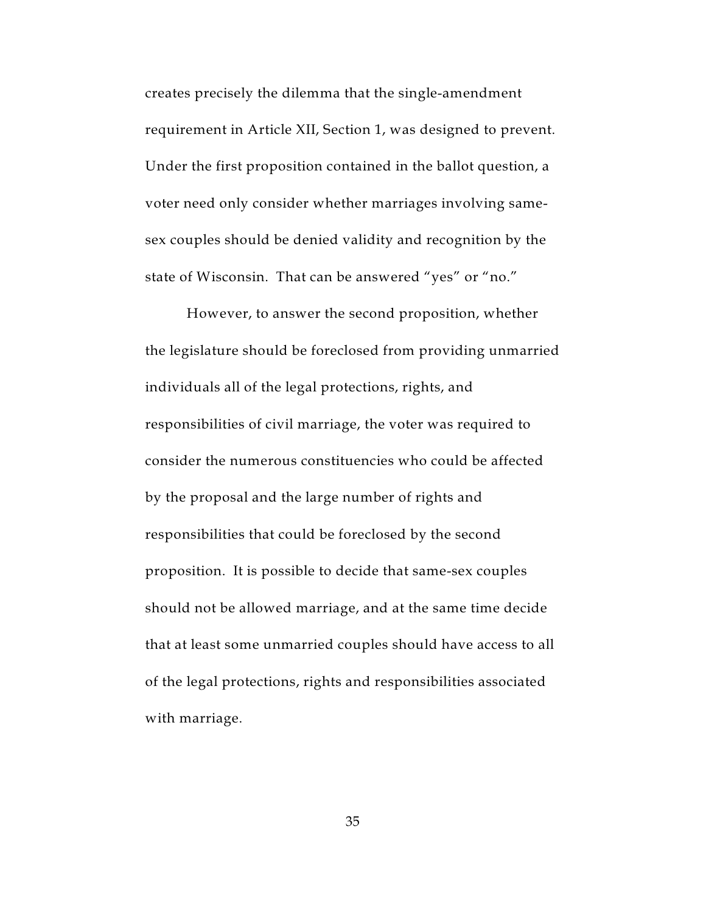creates precisely the dilemma that the single-amendment requirement in Article XII, Section 1, was designed to prevent. Under the first proposition contained in the ballot question, a voter need only consider whether marriages involving samesex couples should be denied validity and recognition by the state of Wisconsin. That can be answered "yes" or "no."

However, to answer the second proposition, whether the legislature should be foreclosed from providing unmarried individuals all of the legal protections, rights, and responsibilities of civil marriage, the voter was required to consider the numerous constituencies who could be affected by the proposal and the large number of rights and responsibilities that could be foreclosed by the second proposition. It is possible to decide that same-sex couples should not be allowed marriage, and at the same time decide that at least some unmarried couples should have access to all of the legal protections, rights and responsibilities associated with marriage.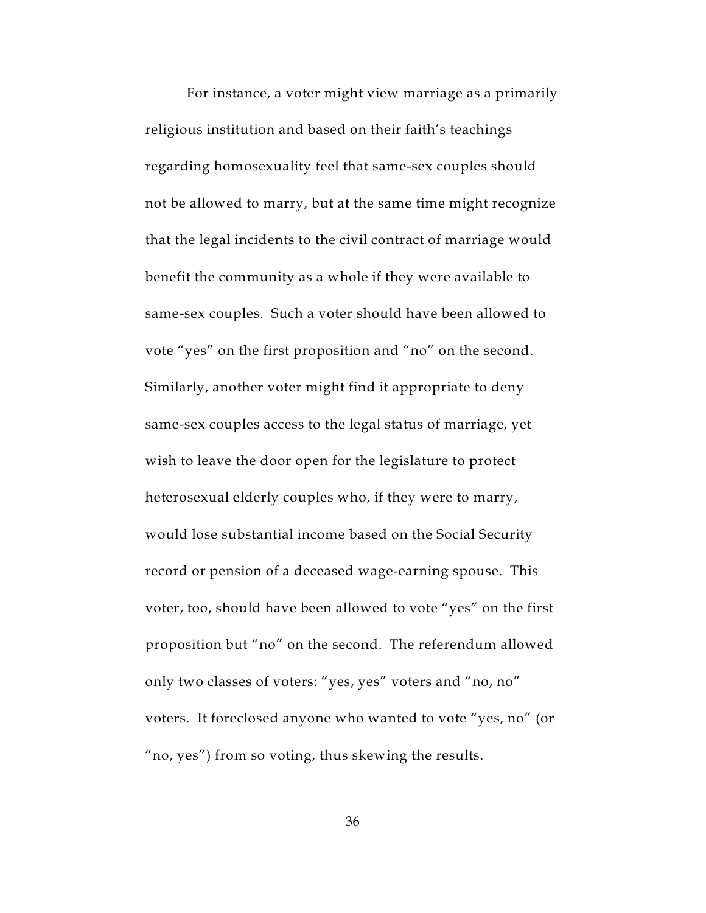For instance, a voter might view marriage as a primarily religious institution and based on their faith's teachings regarding homosexuality feel that same-sex couples should not be allowed to marry, but at the same time might recognize that the legal incidents to the civil contract of marriage would benefit the community as a whole if they were available to same-sex couples. Such a voter should have been allowed to vote "yes" on the first proposition and "no" on the second. Similarly, another voter might find it appropriate to deny same-sex couples access to the legal status of marriage, yet wish to leave the door open for the legislature to protect heterosexual elderly couples who, if they were to marry, would lose substantial income based on the Social Security record or pension of a deceased wage-earning spouse. This voter, too, should have been allowed to vote "yes" on the first proposition but "no" on the second. The referendum allowed only two classes of voters: "yes, yes" voters and "no, no" voters. It foreclosed anyone who wanted to vote "yes, no" (or "no, yes") from so voting, thus skewing the results.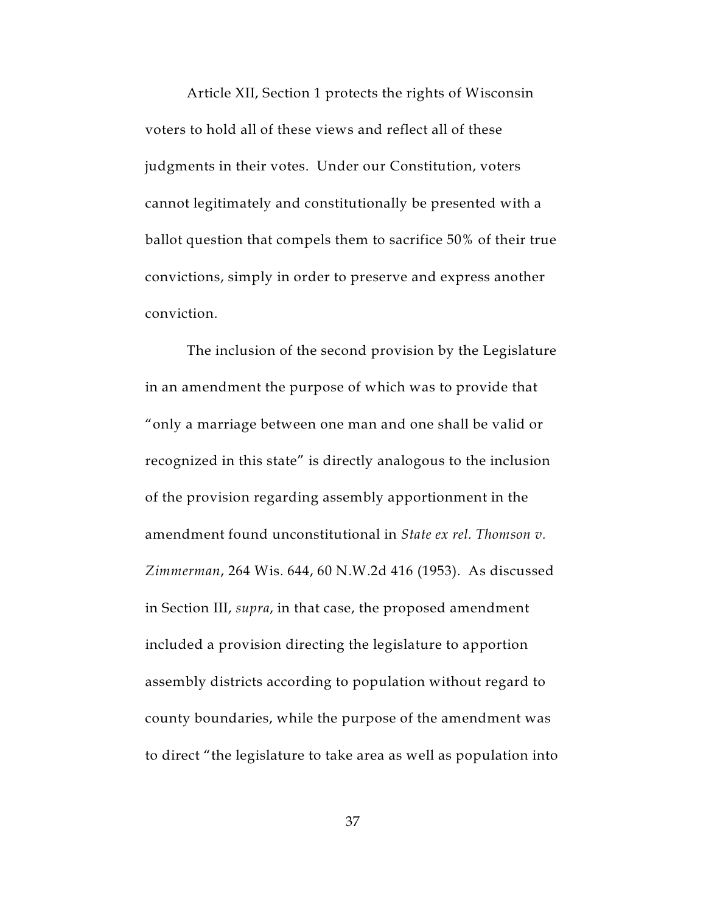Article XII, Section 1 protects the rights of Wisconsin voters to hold all of these views and reflect all of these judgments in their votes. Under our Constitution, voters cannot legitimately and constitutionally be presented with a ballot question that compels them to sacrifice 50% of their true convictions, simply in order to preserve and express another conviction.

The inclusion of the second provision by the Legislature in an amendment the purpose of which was to provide that "only a marriage between one man and one shall be valid or recognized in this state" is directly analogous to the inclusion of the provision regarding assembly apportionment in the amendment found unconstitutional in *State ex rel. Thomson v. Zimmerman*, 264 Wis. 644, 60 N.W.2d 416 (1953). As discussed in Section III, *supra*, in that case, the proposed amendment included a provision directing the legislature to apportion assembly districts according to population without regard to county boundaries, while the purpose of the amendment was to direct "the legislature to take area as well as population into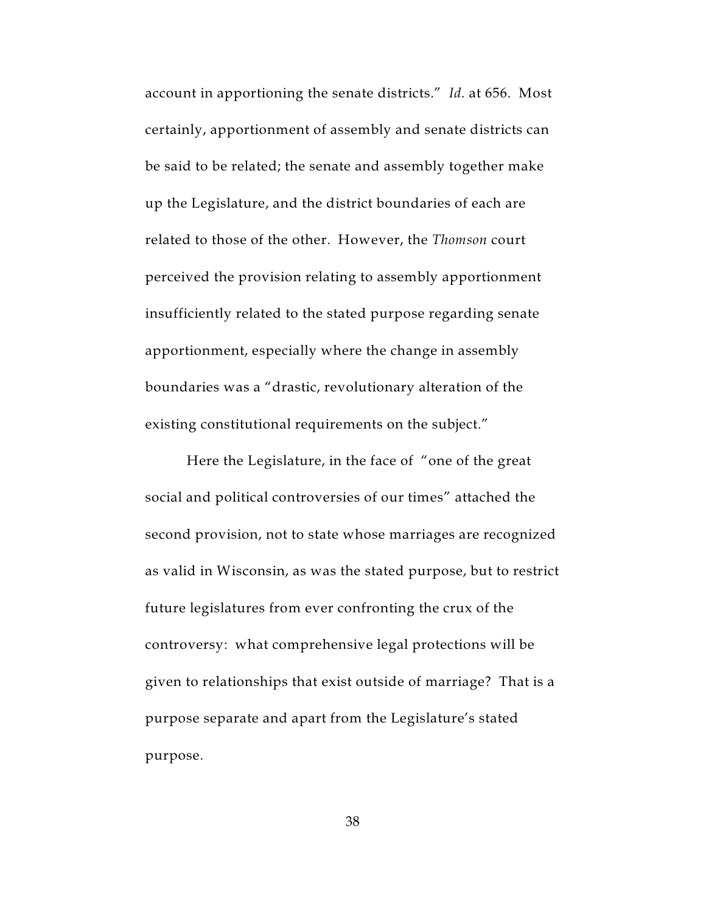account in apportioning the senate districts." *Id.* at 656. Most certainly, apportionment of assembly and senate districts can be said to be related; the senate and assembly together make up the Legislature, and the district boundaries of each are related to those of the other. However, the *Thomson* court perceived the provision relating to assembly apportionment insufficiently related to the stated purpose regarding senate apportionment, especially where the change in assembly boundaries was a "drastic, revolutionary alteration of the existing constitutional requirements on the subject."

Here the Legislature, in the face of "one of the great social and political controversies of our times" attached the second provision, not to state whose marriages are recognized as valid in Wisconsin, as was the stated purpose, but to restrict future legislatures from ever confronting the crux of the controversy: what comprehensive legal protections will be given to relationships that exist outside of marriage? That is a purpose separate and apart from the Legislature's stated purpose.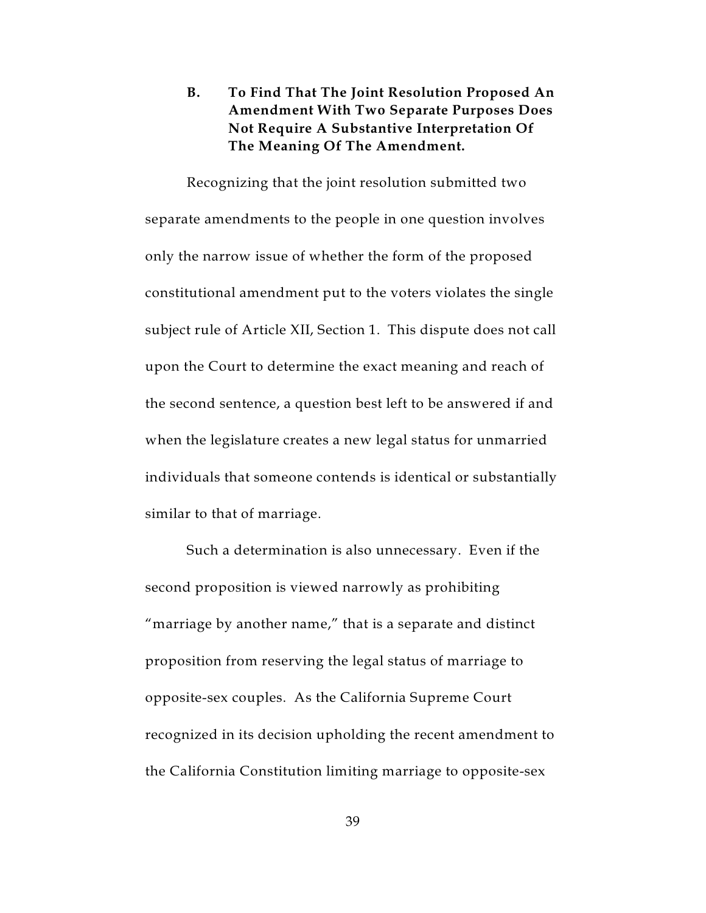**B. To Find That The Joint Resolution Proposed An Amendment With Two Separate Purposes Does Not Require A Substantive Interpretation Of The Meaning Of The Amendment.** 

Recognizing that the joint resolution submitted two separate amendments to the people in one question involves only the narrow issue of whether the form of the proposed constitutional amendment put to the voters violates the single subject rule of Article XII, Section 1. This dispute does not call upon the Court to determine the exact meaning and reach of the second sentence, a question best left to be answered if and when the legislature creates a new legal status for unmarried individuals that someone contends is identical or substantially similar to that of marriage.

Such a determination is also unnecessary. Even if the second proposition is viewed narrowly as prohibiting "marriage by another name," that is a separate and distinct proposition from reserving the legal status of marriage to opposite-sex couples. As the California Supreme Court recognized in its decision upholding the recent amendment to the California Constitution limiting marriage to opposite-sex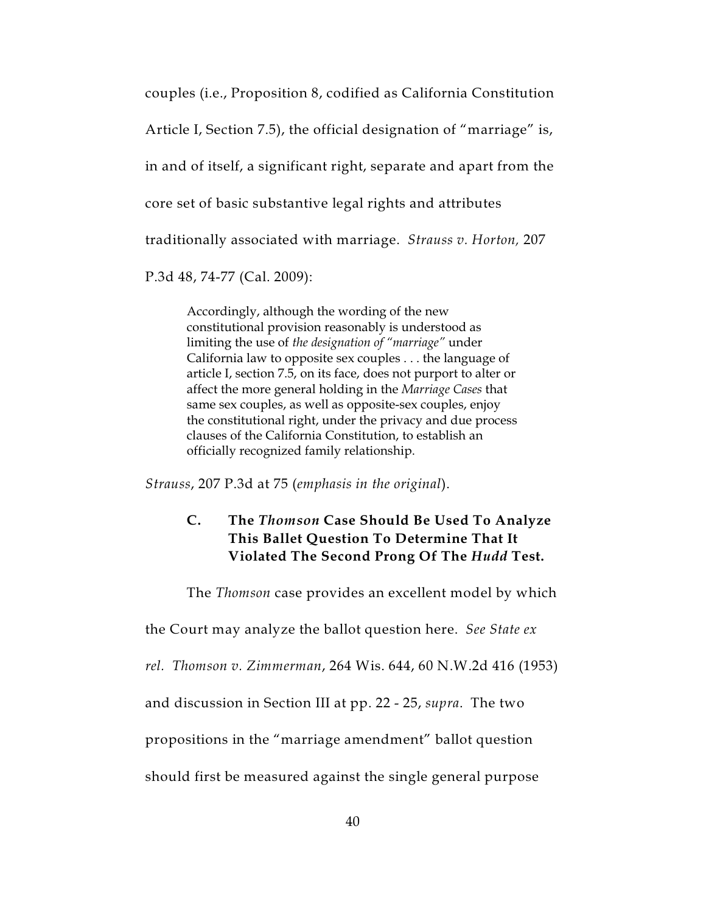couples (i.e., Proposition 8, codified as California Constitution

Article I, Section 7.5), the official designation of "marriage" is,

in and of itself, a significant right, separate and apart from the

core set of basic substantive legal rights and attributes

traditionally associated with marriage. *Strauss v. Horton,* 207

P.3d 48, 74-77 (Cal. 2009):

Accordingly, although the wording of the new constitutional provision reasonably is understood as limiting the use of *the designation of "marriage"* under California law to opposite sex couples . . . the language of article I, section 7.5, on its face, does not purport to alter or affect the more general holding in the *Marriage Cases* that same sex couples, as well as opposite-sex couples, enjoy the constitutional right, under the privacy and due process clauses of the California Constitution, to establish an officially recognized family relationship.

*Strauss*, 207 P.3d at 75 (*emphasis in the original*).

## **C. The** *Thomson* **Case Should Be Used To Analyze This Ballet Question To Determine That It Violated The Second Prong Of The** *Hudd* **Test.**

The *Thomson* case provides an excellent model by which

the Court may analyze the ballot question here. *See State ex*

*rel. Thomson v. Zimmerman*, 264 Wis. 644, 60 N.W.2d 416 (1953)

and discussion in Section III at pp. 22 - 25, *supra*. The two

propositions in the "marriage amendment" ballot question

should first be measured against the single general purpose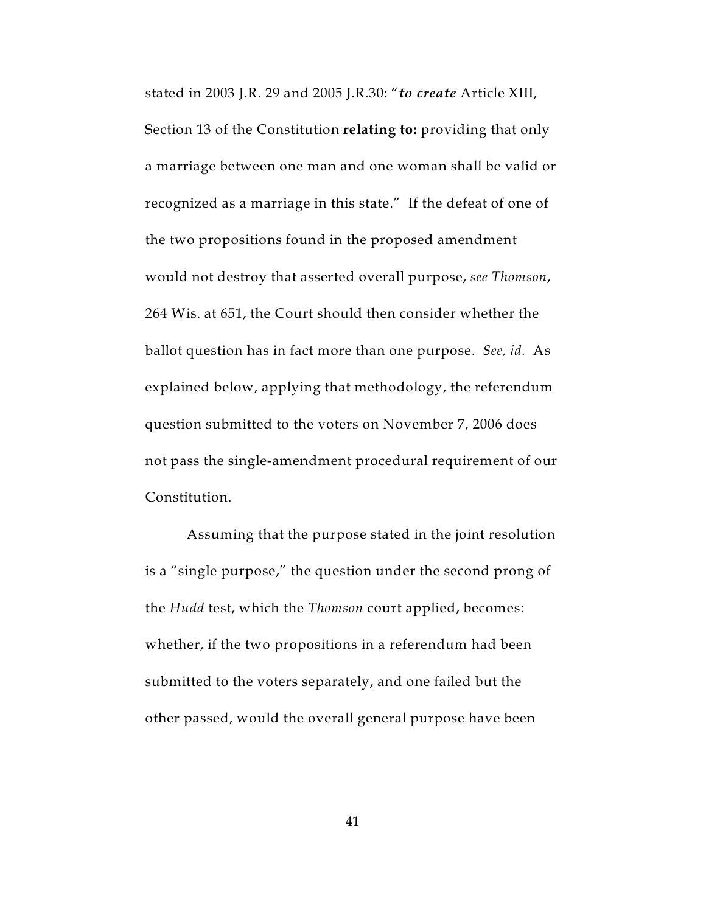stated in 2003 J.R. 29 and 2005 J.R.30: "*to create* Article XIII, Section 13 of the Constitution **relating to:** providing that only a marriage between one man and one woman shall be valid or recognized as a marriage in this state." If the defeat of one of the two propositions found in the proposed amendment would not destroy that asserted overall purpose, *see Thomson*, 264 Wis. at 651, the Court should then consider whether the ballot question has in fact more than one purpose. *See, id.* As explained below, applying that methodology, the referendum question submitted to the voters on November 7, 2006 does not pass the single-amendment procedural requirement of our Constitution.

Assuming that the purpose stated in the joint resolution is a "single purpose," the question under the second prong of the *Hudd* test, which the *Thomson* court applied, becomes: whether, if the two propositions in a referendum had been submitted to the voters separately, and one failed but the other passed, would the overall general purpose have been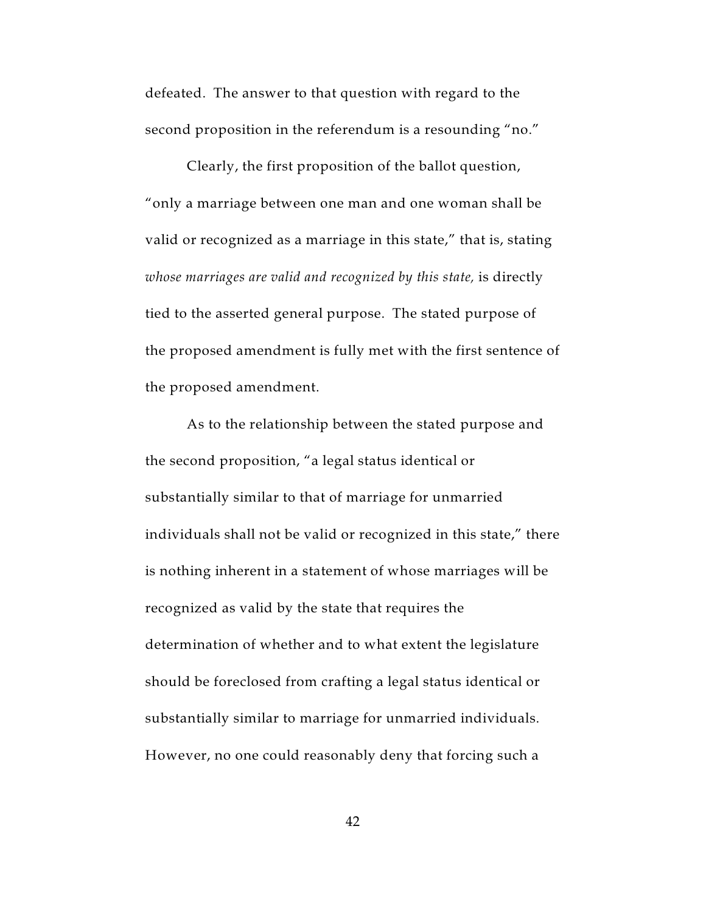defeated. The answer to that question with regard to the second proposition in the referendum is a resounding "no."

Clearly, the first proposition of the ballot question, "only a marriage between one man and one woman shall be valid or recognized as a marriage in this state," that is, stating *whose marriages are valid and recognized by this state,* is directly tied to the asserted general purpose. The stated purpose of the proposed amendment is fully met with the first sentence of the proposed amendment.

As to the relationship between the stated purpose and the second proposition, "a legal status identical or substantially similar to that of marriage for unmarried individuals shall not be valid or recognized in this state," there is nothing inherent in a statement of whose marriages will be recognized as valid by the state that requires the determination of whether and to what extent the legislature should be foreclosed from crafting a legal status identical or substantially similar to marriage for unmarried individuals. However, no one could reasonably deny that forcing such a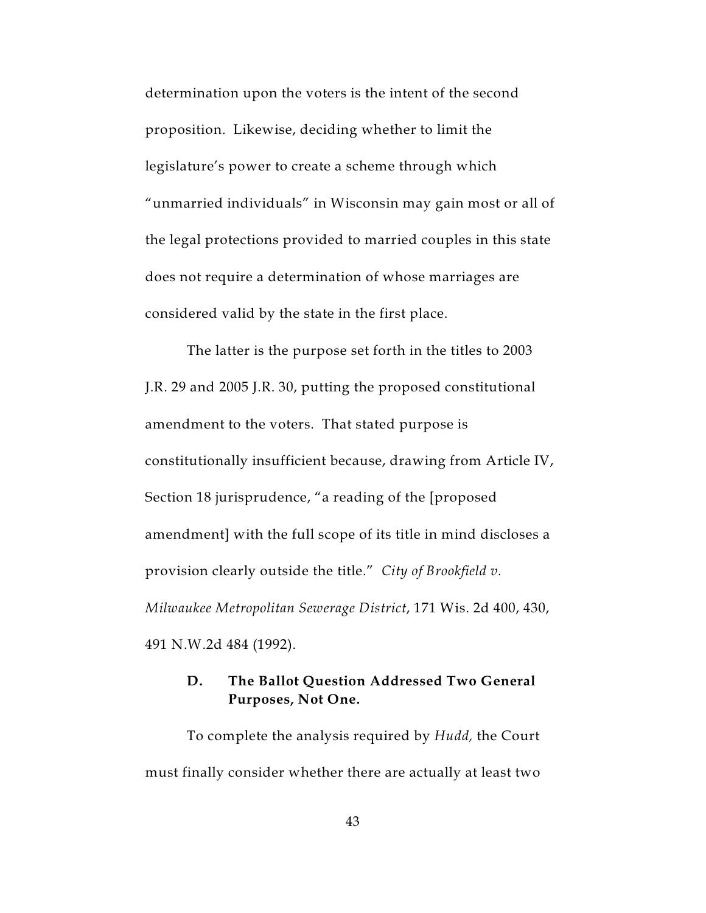determination upon the voters is the intent of the second proposition. Likewise, deciding whether to limit the legislature's power to create a scheme through which "unmarried individuals" in Wisconsin may gain most or all of the legal protections provided to married couples in this state does not require a determination of whose marriages are considered valid by the state in the first place.

The latter is the purpose set forth in the titles to 2003 J.R. 29 and 2005 J.R. 30, putting the proposed constitutional amendment to the voters. That stated purpose is constitutionally insufficient because, drawing from Article IV, Section 18 jurisprudence, "a reading of the [proposed amendment] with the full scope of its title in mind discloses a provision clearly outside the title." *City of Brookfield v. Milwaukee Metropolitan Sewerage District*, 171 Wis. 2d 400, 430, 491 N.W.2d 484 (1992).

## **D. The Ballot Question Addressed Two General Purposes, Not One.**

To complete the analysis required by *Hudd,* the Court must finally consider whether there are actually at least two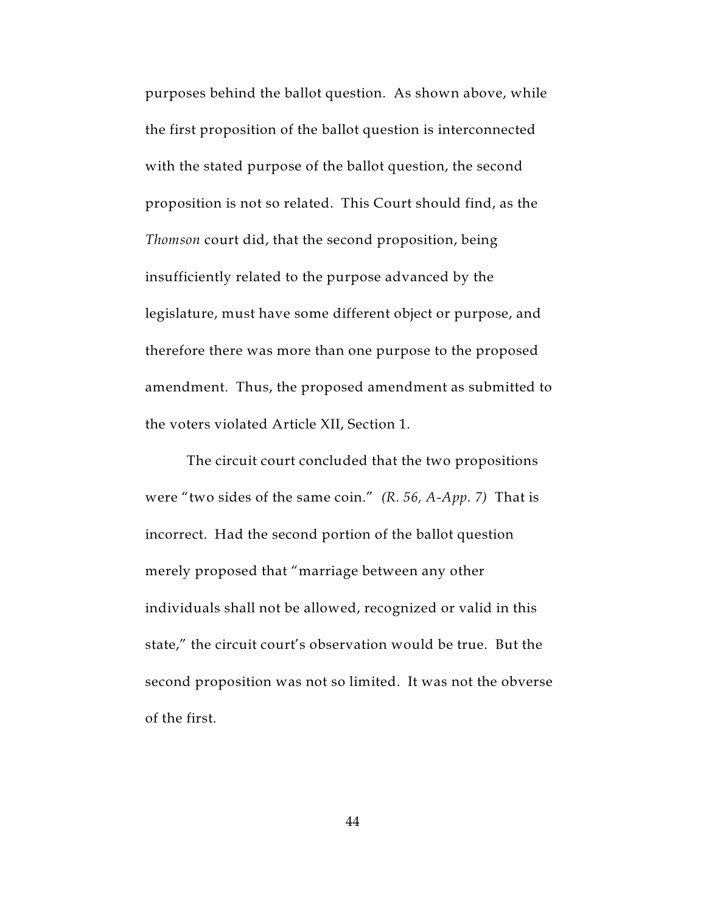purposes behind the ballot question. As shown above, while the first proposition of the ballot question is interconnected with the stated purpose of the ballot question, the second proposition is not so related. This Court should find, as the *Thomson* court did, that the second proposition, being insufficiently related to the purpose advanced by the legislature, must have some different object or purpose, and therefore there was more than one purpose to the proposed amendment. Thus, the proposed amendment as submitted to the voters violated Article XII, Section 1.

The circuit court concluded that the two propositions were "two sides of the same coin." *(R. 56, A-App. 7)* That is incorrect. Had the second portion of the ballot question merely proposed that "marriage between any other individuals shall not be allowed, recognized or valid in this state," the circuit court's observation would be true. But the second proposition was not so limited. It was not the obverse of the first.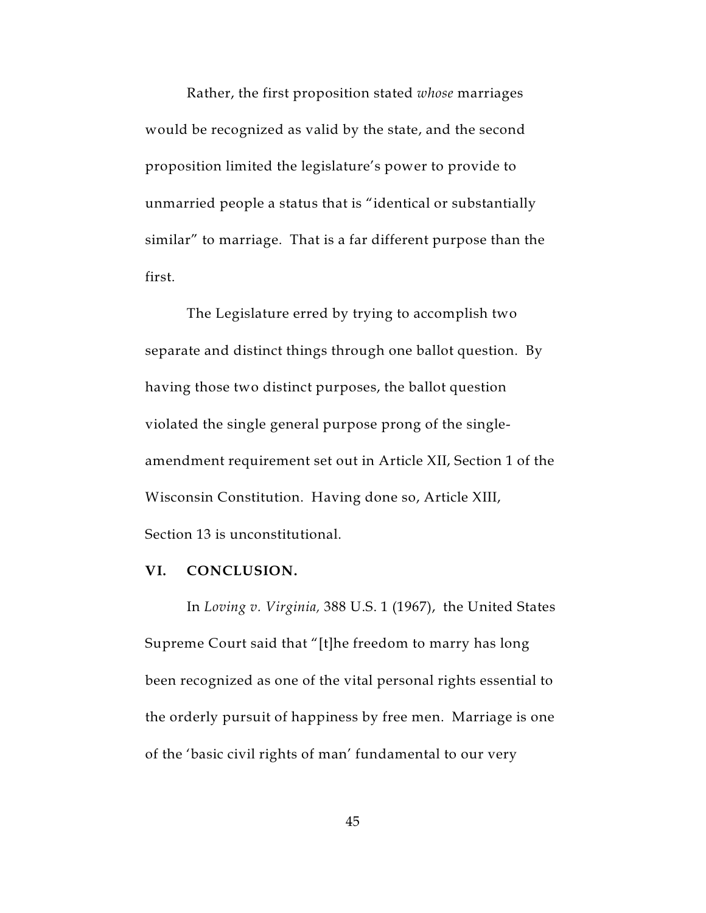Rather, the first proposition stated *whose* marriages would be recognized as valid by the state, and the second proposition limited the legislature's power to provide to unmarried people a status that is "identical or substantially similar" to marriage. That is a far different purpose than the first.

The Legislature erred by trying to accomplish two separate and distinct things through one ballot question. By having those two distinct purposes, the ballot question violated the single general purpose prong of the singleamendment requirement set out in Article XII, Section 1 of the Wisconsin Constitution. Having done so, Article XIII, Section 13 is unconstitutional.

#### **VI. CONCLUSION.**

In *Loving v. Virginia,* 388 U.S. 1 (1967), the United States Supreme Court said that "[t]he freedom to marry has long been recognized as one of the vital personal rights essential to the orderly pursuit of happiness by free men. Marriage is one of the 'basic civil rights of man' fundamental to our very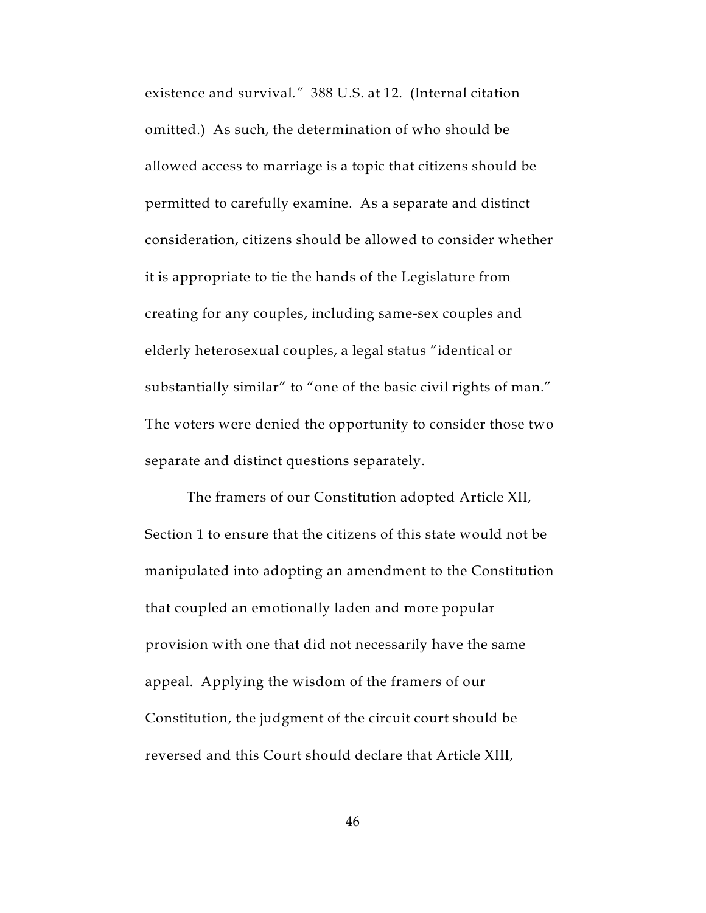existence and survival*."* 388 U.S. at 12. (Internal citation omitted.) As such, the determination of who should be allowed access to marriage is a topic that citizens should be permitted to carefully examine. As a separate and distinct consideration, citizens should be allowed to consider whether it is appropriate to tie the hands of the Legislature from creating for any couples, including same-sex couples and elderly heterosexual couples, a legal status "identical or substantially similar" to "one of the basic civil rights of man." The voters were denied the opportunity to consider those two separate and distinct questions separately.

The framers of our Constitution adopted Article XII, Section 1 to ensure that the citizens of this state would not be manipulated into adopting an amendment to the Constitution that coupled an emotionally laden and more popular provision with one that did not necessarily have the same appeal. Applying the wisdom of the framers of our Constitution, the judgment of the circuit court should be reversed and this Court should declare that Article XIII,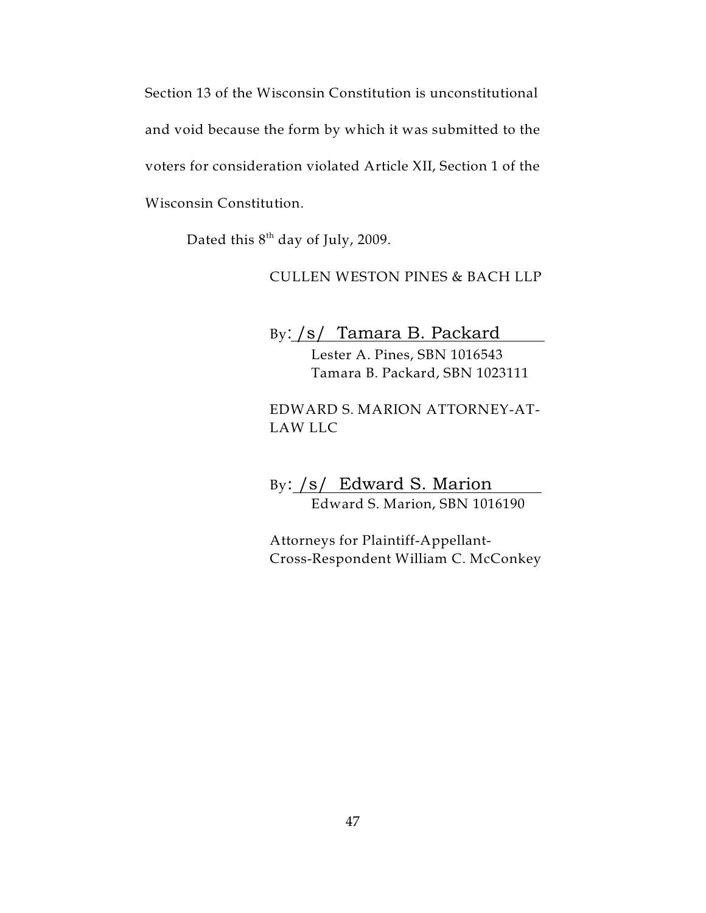Section 13 of the Wisconsin Constitution is unconstitutional and void because the form by which it was submitted to the voters for consideration violated Article XII, Section 1 of the Wisconsin Constitution.

Dated this  $8<sup>th</sup>$  day of July, 2009.

#### CULLEN WESTON PINES & BACH LLP

By: /s/ Tamara B. Packard Lester A. Pines, SBN 1016543 Tamara B. Packard, SBN 1023111

EDWARD S. MARION ATTORNEY-AT-LAW LLC

By: /s/ Edward S. Marion Edward S. Marion, SBN 1016190

Attorneys for Plaintiff-Appellant-Cross-Respondent William C. McConkey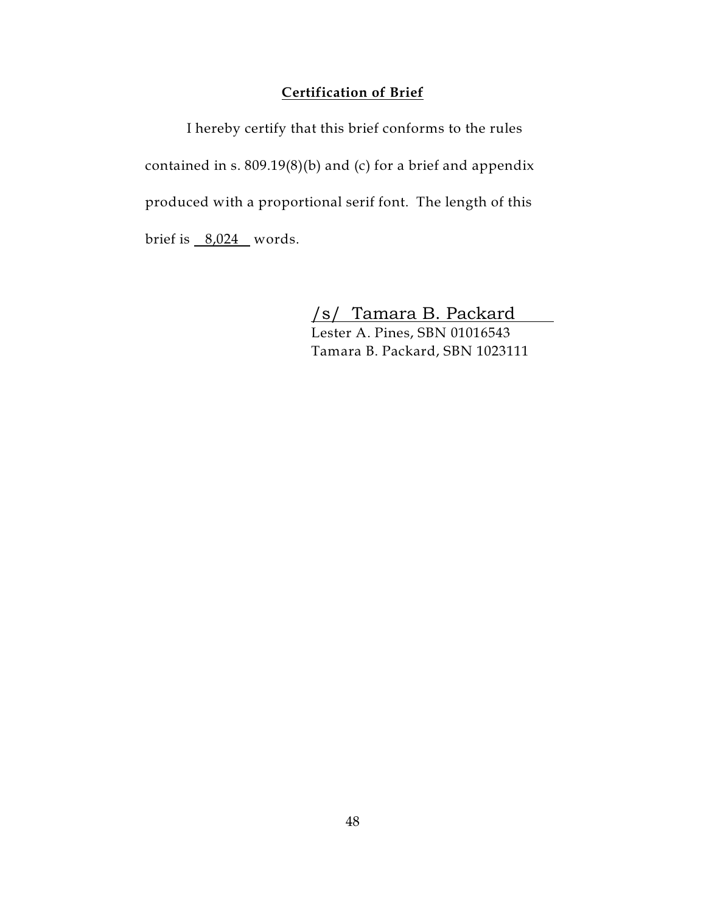#### **Certification of Brief**

I hereby certify that this brief conforms to the rules contained in s. 809.19(8)(b) and (c) for a brief and appendix produced with a proportional serif font. The length of this brief is  $8,024$  words.

> /s/ Tamara B. Packard Lester A. Pines, SBN 01016543 Tamara B. Packard, SBN 1023111